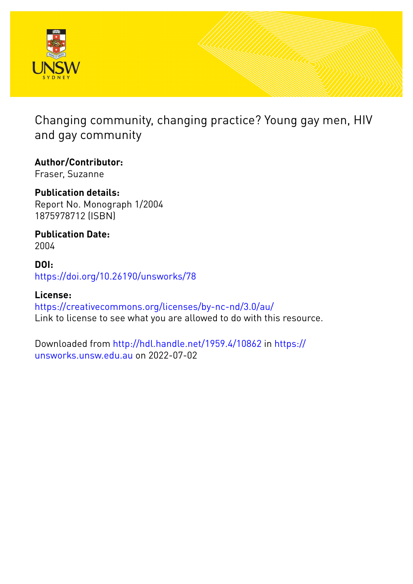

Changing community, changing practice? Young gay men, HIV and gay community

**Author/Contributor:** Fraser, Suzanne

**Publication details:** Report No. Monograph 1/2004 1875978712 (ISBN)

**Publication Date:** 2004

**DOI:** [https://doi.org/10.26190/unsworks/78](http://dx.doi.org/https://doi.org/10.26190/unsworks/78)

**License:** <https://creativecommons.org/licenses/by-nc-nd/3.0/au/> Link to license to see what you are allowed to do with this resource.

Downloaded from <http://hdl.handle.net/1959.4/10862> in [https://](https://unsworks.unsw.edu.au) [unsworks.unsw.edu.au](https://unsworks.unsw.edu.au) on 2022-07-02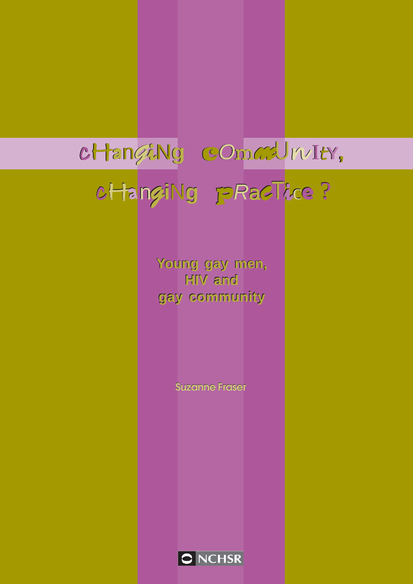# cHan*G*iN**g** c*O*mm*m*U*<sup>n</sup>* <sup>I</sup>t**Y,** cHan*g***i**N**g** p*R*a*c*Tic**<sup>e</sup>** ?

**Young gay men, Young gay men, HIV and HIV and gay community gay community**

**Suzanne Fraser**

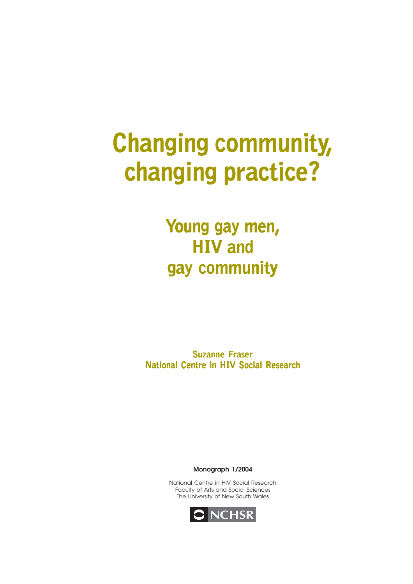# **Changing community, changing practice? changing practice? changing practice?**

**Young gay men, oung oung gay men, HIV and HIV and gay community** 

**Suzanne Fraser National Centre in HIV Social Research**

**Monograph 1/2004**

National Centre in HIV Social Research Faculty of Arts and Social Sciences The University of New South Wales

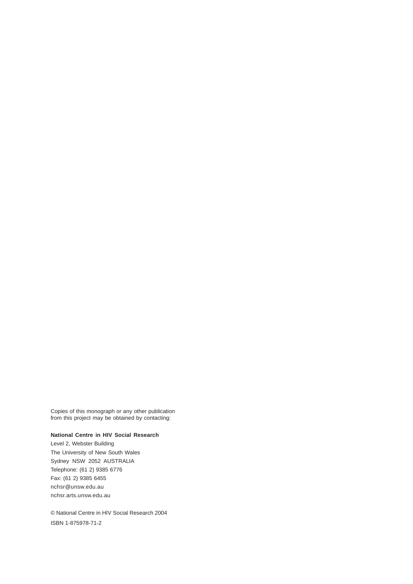Copies of this monograph or any other publication from this project may be obtained by contacting:

#### **National Centre in HIV Social Research**

Level 2, Webster Building The University of New South Wales Sydney NSW 2052 AUSTRALIA Telephone: (61 2) 9385 6776 Fax: (61 2) 9385 6455 nchsr@unsw.edu.au nchsr.arts.unsw.edu.au

© National Centre in HIV Social Research 2004 ISBN 1-875978-71-2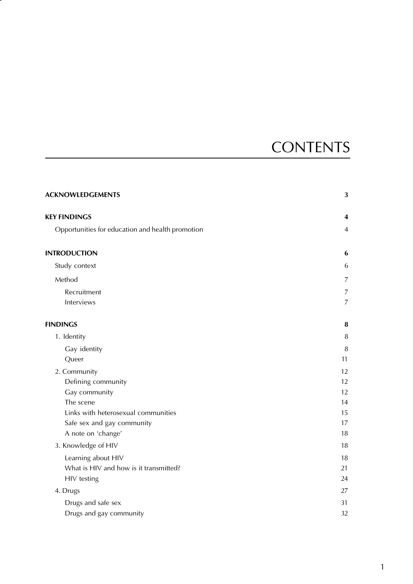# **CONTENTS**

| <b>ACKNOWLEDGEMENTS</b>                          | 3              |
|--------------------------------------------------|----------------|
| <b>KEY FINDINGS</b>                              | 4              |
| Opportunities for education and health promotion | $\overline{4}$ |
| <b>INTRODUCTION</b>                              | 6              |
| Study context                                    | 6              |
| Method                                           | $\overline{7}$ |
| Recruitment                                      | $\overline{7}$ |
| Interviews                                       | $\overline{7}$ |
| <b>FINDINGS</b>                                  | 8              |
| 1. Identity                                      | $\, 8$         |
| Gay identity                                     | $\, 8$         |
| Queer                                            | 11             |
| 2. Community                                     | 12             |
| Defining community                               | 12             |
| Gay community                                    | 12             |
| The scene                                        | 14             |
| Links with heterosexual communities              | 15             |
| Safe sex and gay community                       | 17             |
| A note on 'change'                               | 18             |
| 3. Knowledge of HIV                              | 18             |
| Learning about HIV                               | 18             |
| What is HIV and how is it transmitted?           | 21             |
| HIV testing                                      | 24             |
| 4. Drugs                                         | 27             |
| Drugs and safe sex                               | 31             |
| Drugs and gay community                          | 32             |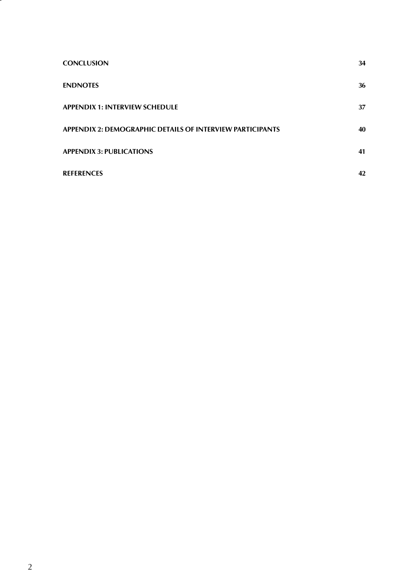| <b>CONCLUSION</b>                                                | 34 |
|------------------------------------------------------------------|----|
| <b>ENDNOTES</b>                                                  | 36 |
| <b>APPENDIX 1: INTERVIEW SCHEDULE</b>                            | 37 |
| <b>APPENDIX 2: DEMOGRAPHIC DETAILS OF INTERVIEW PARTICIPANTS</b> | 40 |
| <b>APPENDIX 3: PUBLICATIONS</b>                                  | 41 |
| <b>REFERENCES</b>                                                | 42 |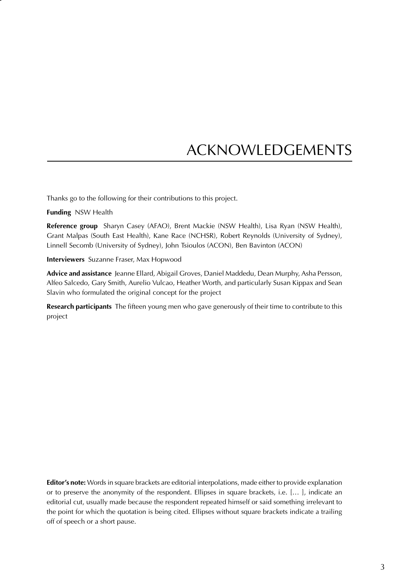# ACKNOWLEDGEMENTS

Thanks go to the following for their contributions to this project.

**Funding** NSW Health

**Reference group** Sharyn Casey (AFAO), Brent Mackie (NSW Health), Lisa Ryan (NSW Health), Grant Malpas (South East Health), Kane Race (NCHSR), Robert Reynolds (University of Sydney), Linnell Secomb (University of Sydney), John Tsioulos (ACON), Ben Bavinton (ACON)

**Interviewers** Suzanne Fraser, Max Hopwood

**Advice and assistance** Jeanne Ellard, Abigail Groves, Daniel Maddedu, Dean Murphy, Asha Persson, Alfeo Salcedo, Gary Smith, Aurelio Vulcao, Heather Worth, and particularly Susan Kippax and Sean Slavin who formulated the original concept for the project

**Research participants** The fifteen young men who gave generously of their time to contribute to this project

**Editor's note:** Words in square brackets are editorial interpolations, made either to provide explanation or to preserve the anonymity of the respondent. Ellipses in square brackets, i.e. [… ], indicate an editorial cut, usually made because the respondent repeated himself or said something irrelevant to the point for which the quotation is being cited. Ellipses without square brackets indicate a trailing off of speech or a short pause.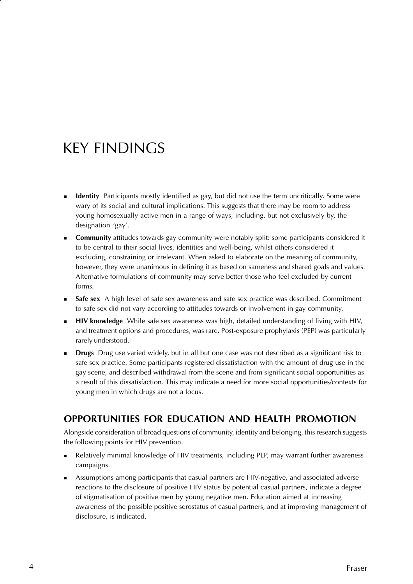# KEY FINDINGS

- **Identity** Participants mostly identified as gay, but did not use the term uncritically. Some were wary of its social and cultural implications. This suggests that there may be room to address young homosexually active men in a range of ways, including, but not exclusively by, the designation 'gay'.
- **Community** attitudes towards gay community were notably split: some participants considered it to be central to their social lives, identities and well-being, whilst others considered it excluding, constraining or irrelevant. When asked to elaborate on the meaning of community, however, they were unanimous in defining it as based on sameness and shared goals and values. Alternative formulations of community may serve better those who feel excluded by current forms.
- **Safe sex** A high level of safe sex awareness and safe sex practice was described. Commitment to safe sex did not vary according to attitudes towards or involvement in gay community.
- **HIV knowledge** While safe sex awareness was high, detailed understanding of living with HIV, and treatment options and procedures, was rare. Post-exposure prophylaxis (PEP) was particularly rarely understood.
- **Drugs** Drug use varied widely, but in all but one case was not described as a significant risk to safe sex practice. Some participants registered dissatisfaction with the amount of drug use in the gay scene, and described withdrawal from the scene and from significant social opportunities as a result of this dissatisfaction. This may indicate a need for more social opportunities/contexts for young men in which drugs are not a focus.

#### **OPPORTUNITIES FOR EDUCATION AND HEALTH PROMOTION**

Alongside consideration of broad questions of community, identity and belonging, this research suggests the following points for HIV prevention.

- Relatively minimal knowledge of HIV treatments, including PEP, may warrant further awareness campaigns.
- Assumptions among participants that casual partners are HIV-negative, and associated adverse reactions to the disclosure of positive HIV status by potential casual partners, indicate a degree of stigmatisation of positive men by young negative men. Education aimed at increasing awareness of the possible positive serostatus of casual partners, and at improving management of disclosure, is indicated.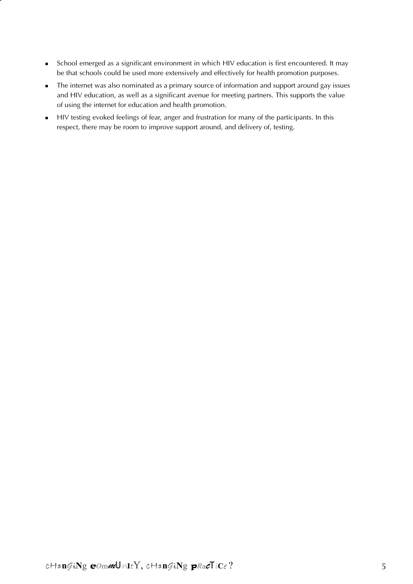- School emerged as a significant environment in which HIV education is first encountered. It may be that schools could be used more extensively and effectively for health promotion purposes.
- The internet was also nominated as a primary source of information and support around gay issues and HIV education, as well as a significant avenue for meeting partners. This supports the value of using the internet for education and health promotion.
- HIV testing evoked feelings of fear, anger and frustration for many of the participants. In this respect, there may be room to improve support around, and delivery of, testing.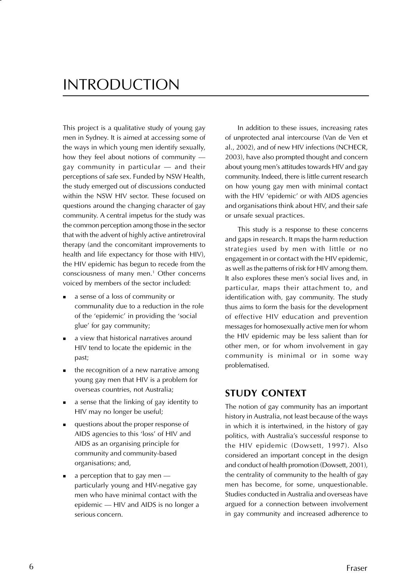### INTRODUCTION

This project is a qualitative study of young gay men in Sydney. It is aimed at accessing some of the ways in which young men identify sexually, how they feel about notions of community gay community in particular — and their perceptions of safe sex. Funded by NSW Health, the study emerged out of discussions conducted within the NSW HIV sector. These focused on questions around the changing character of gay community. A central impetus for the study was the common perception among those in the sector that with the advent of highly active antiretroviral therapy (and the concomitant improvements to health and life expectancy for those with HIV), the HIV epidemic has begun to recede from the consciousness of many men.1 Other concerns voiced by members of the sector included:

- a sense of a loss of community or communality due to a reduction in the role of the 'epidemic' in providing the 'social glue' for gay community;
- a view that historical narratives around HIV tend to locate the epidemic in the past;
- **the recognition of a new narrative among** young gay men that HIV is a problem for overseas countries, not Australia;
- a sense that the linking of gay identity to HIV may no longer be useful;
- questions about the proper response of AIDS agencies to this 'loss' of HIV and AIDS as an organising principle for community and community-based organisations; and,
- $\blacksquare$  a perception that to gay men particularly young and HIV-negative gay men who have minimal contact with the epidemic — HIV and AIDS is no longer a serious concern.

In addition to these issues, increasing rates of unprotected anal intercourse (Van de Ven et al., 2002), and of new HIV infections (NCHECR, 2003), have also prompted thought and concern about young men's attitudes towards HIV and gay community. Indeed, there is little current research on how young gay men with minimal contact with the HIV 'epidemic' or with AIDS agencies and organisations think about HIV, and their safe or unsafe sexual practices.

This study is a response to these concerns and gaps in research. It maps the harm reduction strategies used by men with little or no engagement in or contact with the HIV epidemic, as well as the patterns of risk for HIV among them. It also explores these men's social lives and, in particular, maps their attachment to, and identification with, gay community. The study thus aims to form the basis for the development of effective HIV education and prevention messages for homosexually active men for whom the HIV epidemic may be less salient than for other men, or for whom involvement in gay community is minimal or in some way problematised.

#### **STUDY CONTEXT**

The notion of gay community has an important history in Australia, not least because of the ways in which it is intertwined, in the history of gay politics, with Australia's successful response to the HIV epidemic (Dowsett, 1997). Also considered an important concept in the design and conduct of health promotion (Dowsett, 2001), the centrality of community to the health of gay men has become, for some, unquestionable. Studies conducted in Australia and overseas have argued for a connection between involvement in gay community and increased adherence to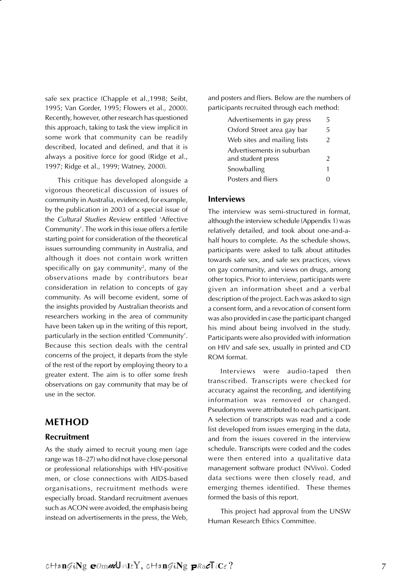safe sex practice (Chapple et al.,1998; Seibt, 1995; Van Gorder, 1995; Flowers et al., 2000). Recently, however, other research has questioned this approach, taking to task the view implicit in some work that community can be readily described, located and defined, and that it is always a positive force for good (Ridge et al., 1997; Ridge et al., 1999; Watney, 2000).

This critique has developed alongside a vigorous theoretical discussion of issues of community in Australia, evidenced, for example, by the publication in 2003 of a special issue of the Cultural Studies Review entitled 'Affective Community'. The work in this issue offers a fertile starting point for consideration of the theoretical issues surrounding community in Australia, and although it does not contain work written specifically on gay community $^{\rm 2}$ , many of the observations made by contributors bear consideration in relation to concepts of gay community. As will become evident, some of the insights provided by Australian theorists and researchers working in the area of community have been taken up in the writing of this report, particularly in the section entitled 'Community'. Because this section deals with the central concerns of the project, it departs from the style of the rest of the report by employing theory to a greater extent. The aim is to offer some fresh observations on gay community that may be of use in the sector.

#### **METHOD**

#### **Recruitment**

As the study aimed to recruit young men (age range was 18–27) who did not have close personal or professional relationships with HIV-positive men, or close connections with AIDS-based organisations, recruitment methods were especially broad. Standard recruitment avenues such as ACON were avoided, the emphasis being instead on advertisements in the press, the Web,

and posters and fliers. Below are the numbers of participants recruited through each method:

| Advertisements in gay press | ц             |
|-----------------------------|---------------|
| Oxford Street area gay bar  | 5             |
| Web sites and mailing lists | $\mathcal{P}$ |
| Advertisements in suburban  |               |
| and student press           | $\mathcal{P}$ |
| Snowballing                 | 1             |
| Posters and fliers          |               |

#### **Interviews**

The interview was semi-structured in format, although the interview schedule (Appendix 1) was relatively detailed, and took about one-and-ahalf hours to complete. As the schedule shows, participants were asked to talk about attitudes towards safe sex, and safe sex practices, views on gay community, and views on drugs, among other topics. Prior to interview, participants were given an information sheet and a verbal description of the project. Each was asked to sign a consent form, and a revocation of consent form was also provided in case the participant changed his mind about being involved in the study. Participants were also provided with information on HIV and safe sex, usually in printed and CD ROM format.

Interviews were audio-taped then transcribed. Transcripts were checked for accuracy against the recording, and identifying information was removed or changed. Pseudonyms were attributed to each participant. A selection of transcripts was read and a code list developed from issues emerging in the data, and from the issues covered in the interview schedule. Transcripts were coded and the codes were then entered into a qualitative data management software product (NVivo). Coded data sections were then closely read, and emerging themes identified. These themes formed the basis of this report.

This project had approval from the UNSW Human Research Ethics Committee.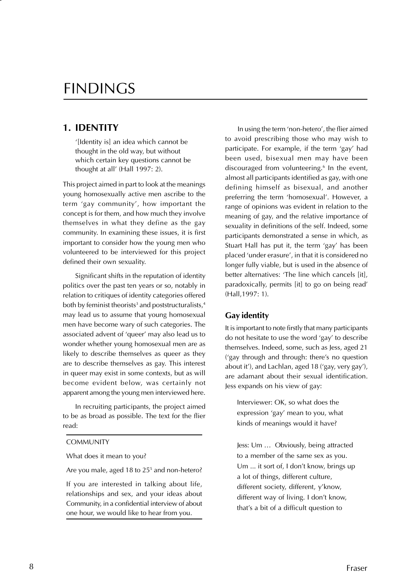### FINDINGS

#### **1. IDENTITY**

'[Identity is] an idea which cannot be thought in the old way, but without which certain key questions cannot be thought at all' (Hall 1997: 2).

This project aimed in part to look at the meanings young homosexually active men ascribe to the term 'gay community', how important the concept is for them, and how much they involve themselves in what they define as the gay community. In examining these issues, it is first important to consider how the young men who volunteered to be interviewed for this project defined their own sexuality.

Significant shifts in the reputation of identity politics over the past ten years or so, notably in relation to critiques of identity categories offered both by feminist theorists $^3$  and poststructuralists, $^4$ may lead us to assume that young homosexual men have become wary of such categories. The associated advent of 'queer' may also lead us to wonder whether young homosexual men are as likely to describe themselves as queer as they are to describe themselves as gay. This interest in queer may exist in some contexts, but as will become evident below, was certainly not apparent among the young men interviewed here.

In recruiting participants, the project aimed to be as broad as possible. The text for the flier read:

#### **COMMUNITY**

What does it mean to you?

Are you male, aged 18 to 25<sup>5</sup> and non-hetero?

If you are interested in talking about life, relationships and sex, and your ideas about Community, in a confidential interview of about one hour, we would like to hear from you.

In using the term 'non-hetero', the flier aimed to avoid prescribing those who may wish to participate. For example, if the term 'gay' had been used, bisexual men may have been discouraged from volunteering.6 In the event, almost all participants identified as gay, with one defining himself as bisexual, and another preferring the term 'homosexual'. However, a range of opinions was evident in relation to the meaning of gay, and the relative importance of sexuality in definitions of the self. Indeed, some participants demonstrated a sense in which, as Stuart Hall has put it, the term 'gay' has been placed 'under erasure', in that it is considered no longer fully viable, but is used in the absence of better alternatives: 'The line which cancels [it], paradoxically, permits [it] to go on being read' (Hall,1997: 1).

#### **Gay identity**

It is important to note firstly that many participants do not hesitate to use the word 'gay' to describe themselves. Indeed, some, such as Jess, aged 21 ('gay through and through: there's no question about it'), and Lachlan, aged 18 ('gay, very gay'), are adamant about their sexual identification. Jess expands on his view of gay:

Interviewer: OK, so what does the expression 'gay' mean to you, what kinds of meanings would it have?

Jess: Um … Obviously, being attracted to a member of the same sex as you. Um ... it sort of, I don't know, brings up a lot of things, different culture, different society, different, y'know, different way of living. I don't know, that's a bit of a difficult question to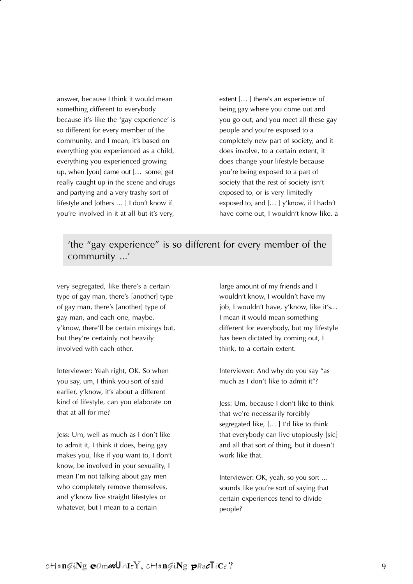answer, because I think it would mean something different to everybody because it's like the 'gay experience' is so different for every member of the community, and I mean, it's based on everything you experienced as a child, everything you experienced growing up, when [you] came out [… some] get really caught up in the scene and drugs and partying and a very trashy sort of lifestyle and [others … ] I don't know if you're involved in it at all but it's very,

extent [… ] there's an experience of being gay where you come out and you go out, and you meet all these gay people and you're exposed to a completely new part of society, and it does involve, to a certain extent, it does change your lifestyle because you're being exposed to a part of society that the rest of society isn't exposed to, or is very limitedly exposed to, and [… ] y'know, if I hadn't have come out, I wouldn't know like, a

#### 'the "gay experience" is so different for every member of the community ...'

very segregated, like there's a certain type of gay man, there's [another] type of gay man, there's [another] type of gay man, and each one, maybe, y'know, there'll be certain mixings but, but they're certainly not heavily involved with each other.

Interviewer: Yeah right, OK. So when you say, um, I think you sort of said earlier, y'know, it's about a different kind of lifestyle, can you elaborate on that at all for me?

Jess: Um, well as much as I don't like to admit it, I think it does, being gay makes you, like if you want to, I don't know, be involved in your sexuality, I mean I'm not talking about gay men who completely remove themselves, and y'know live straight lifestyles or whatever, but I mean to a certain

large amount of my friends and I wouldn't know, I wouldn't have my job, I wouldn't have, y'know, like it's... I mean it would mean something different for everybody, but my lifestyle has been dictated by coming out, I think, to a certain extent.

Interviewer: And why do you say "as much as I don't like to admit it"?

Jess: Um, because I don't like to think that we're necessarily forcibly segregated like, [… ] I'd like to think that everybody can live utopiously [sic] and all that sort of thing, but it doesn't work like that.

Interviewer: OK, yeah, so you sort … sounds like you're sort of saying that certain experiences tend to divide people?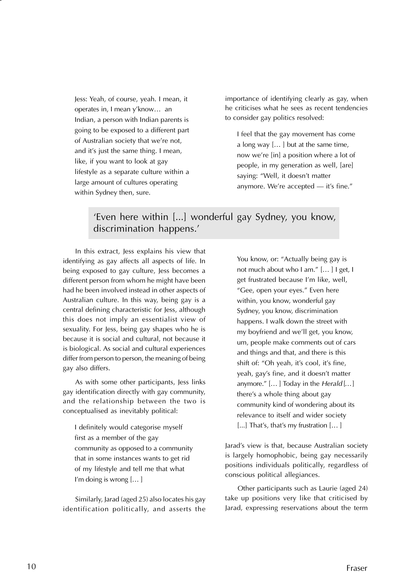Jess: Yeah, of course, yeah. I mean, it operates in, I mean y'know… an Indian, a person with Indian parents is going to be exposed to a different part of Australian society that we're not, and it's just the same thing. I mean, like, if you want to look at gay lifestyle as a separate culture within a large amount of cultures operating within Sydney then, sure.

importance of identifying clearly as gay, when he criticises what he sees as recent tendencies to consider gay politics resolved:

I feel that the gay movement has come a long way [… ] but at the same time, now we're [in] a position where a lot of people, in my generation as well, [are] saying: "Well, it doesn't matter anymore. We're accepted — it's fine."

#### 'Even here within [...] wonderful gay Sydney, you know, discrimination happens.'

In this extract, Jess explains his view that identifying as gay affects all aspects of life. In being exposed to gay culture, Jess becomes a different person from whom he might have been had he been involved instead in other aspects of Australian culture. In this way, being gay is a central defining characteristic for Jess, although this does not imply an essentialist view of sexuality. For Jess, being gay shapes who he is because it is social and cultural, not because it is biological. As social and cultural experiences differ from person to person, the meaning of being gay also differs.

As with some other participants, Jess links gay identification directly with gay community, and the relationship between the two is conceptualised as inevitably political:

I definitely would categorise myself first as a member of the gay community as opposed to a community that in some instances wants to get rid of my lifestyle and tell me that what I'm doing is wrong [… ]

Similarly, Jarad (aged 25) also locates his gay identification politically, and asserts the You know, or: "Actually being gay is not much about who I am." [… ] I get, I get frustrated because I'm like, well, "Gee, open your eyes." Even here within, you know, wonderful gay Sydney, you know, discrimination happens. I walk down the street with my boyfriend and we'll get, you know, um, people make comments out of cars and things and that, and there is this shift of: "Oh yeah, it's cool, it's fine, yeah, gay's fine, and it doesn't matter anymore."  $[...]$  Today in the Herald  $[...]$ there's a whole thing about gay community kind of wondering about its relevance to itself and wider society [...] That's, that's my frustration [...]

Jarad's view is that, because Australian society is largely homophobic, being gay necessarily positions individuals politically, regardless of conscious political allegiances.

Other participants such as Laurie (aged 24) take up positions very like that criticised by Jarad, expressing reservations about the term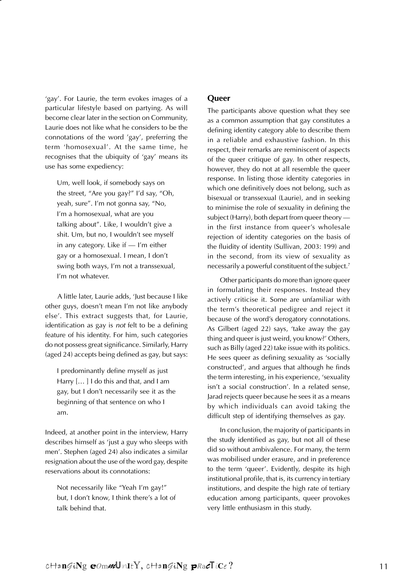'gay'. For Laurie, the term evokes images of a particular lifestyle based on partying. As will become clear later in the section on Community, Laurie does not like what he considers to be the connotations of the word 'gay', preferring the term 'homosexual'. At the same time, he recognises that the ubiquity of 'gay' means its use has some expediency:

Um, well look, if somebody says on the street, "Are you gay?" I'd say, "Oh, yeah, sure". I'm not gonna say, "No, I'm a homosexual, what are you talking about". Like, I wouldn't give a shit. Um, but no, I wouldn't see myself in any category. Like if — I'm either gay or a homosexual. I mean, I don't swing both ways, I'm not a transsexual, I'm not whatever.

A little later, Laurie adds, 'Just because I like other guys, doesn't mean I'm not like anybody else'. This extract suggests that, for Laurie, identification as gay is not felt to be a defining feature of his identity. For him, such categories do not possess great significance. Similarly, Harry (aged 24) accepts being defined as gay, but says:

I predominantly define myself as just Harry [… ] I do this and that, and I am gay, but I don't necessarily see it as the beginning of that sentence on who I am.

Indeed, at another point in the interview, Harry describes himself as 'just a guy who sleeps with men'. Stephen (aged 24) also indicates a similar resignation about the use of the word gay, despite reservations about its connotations:

Not necessarily like "Yeah I'm gay!" but, I don't know, I think there's a lot of talk behind that.

#### **Queer**

The participants above question what they see as a common assumption that gay constitutes a defining identity category able to describe them in a reliable and exhaustive fashion. In this respect, their remarks are reminiscent of aspects of the queer critique of gay. In other respects, however, they do not at all resemble the queer response. In listing those identity categories in which one definitively does not belong, such as bisexual or transsexual (Laurie), and in seeking to minimise the role of sexuality in defining the subject (Harry), both depart from queer theory in the first instance from queer's wholesale rejection of identity categories on the basis of the fluidity of identity (Sullivan, 2003: 199) and in the second, from its view of sexuality as necessarily a powerful constituent of the subject.7

Other participants do more than ignore queer in formulating their responses. Instead they actively criticise it. Some are unfamiliar with the term's theoretical pedigree and reject it because of the word's derogatory connotations. As Gilbert (aged 22) says, 'take away the gay thing and queer is just weird, you know?' Others, such as Billy (aged 22) take issue with its politics. He sees queer as defining sexuality as 'socially constructed', and argues that although he finds the term interesting, in his experience, 'sexuality isn't a social construction'. In a related sense, Jarad rejects queer because he sees it as a means by which individuals can avoid taking the difficult step of identifying themselves as gay.

In conclusion, the majority of participants in the study identified as gay, but not all of these did so without ambivalence. For many, the term was mobilised under erasure, and in preference to the term 'queer'. Evidently, despite its high institutional profile, that is, its currency in tertiary institutions, and despite the high rate of tertiary education among participants, queer provokes very little enthusiasm in this study.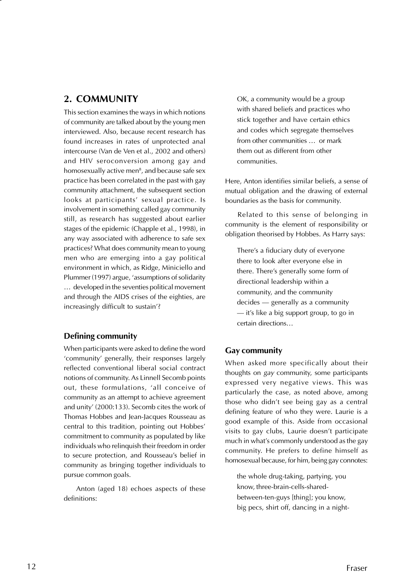#### **2. COMMUNITY**

This section examines the ways in which notions of community are talked about by the young men interviewed. Also, because recent research has found increases in rates of unprotected anal intercourse (Van de Ven et al., 2002 and others) and HIV seroconversion among gay and homosexually active men $^{\rm 8}$ , and because safe sex practice has been correlated in the past with gay community attachment, the subsequent section looks at participants' sexual practice. Is involvement in something called gay community still, as research has suggested about earlier stages of the epidemic (Chapple et al., 1998), in any way associated with adherence to safe sex practices? What does community mean to young men who are emerging into a gay political environment in which, as Ridge, Miniciello and Plummer (1997) argue, 'assumptions of solidarity … developed in the seventies political movement and through the AIDS crises of the eighties, are increasingly difficult to sustain'?

#### **Defining community**

When participants were asked to define the word 'community' generally, their responses largely reflected conventional liberal social contract notions of community. As Linnell Secomb points out, these formulations, 'all conceive of community as an attempt to achieve agreement and unity' (2000:133). Secomb cites the work of Thomas Hobbes and Jean-Jacques Rousseau as central to this tradition, pointing out Hobbes' commitment to community as populated by like individuals who relinquish their freedom in order to secure protection, and Rousseau's belief in community as bringing together individuals to pursue common goals.

Anton (aged 18) echoes aspects of these definitions:

OK, a community would be a group with shared beliefs and practices who stick together and have certain ethics and codes which segregate themselves from other communities … or mark them out as different from other communities.

Here, Anton identifies similar beliefs, a sense of mutual obligation and the drawing of external boundaries as the basis for community.

Related to this sense of belonging in community is the element of responsibility or obligation theorised by Hobbes. As Harry says:

There's a fiduciary duty of everyone there to look after everyone else in there. There's generally some form of directional leadership within a community, and the community decides — generally as a community — it's like a big support group, to go in certain directions…

#### **Gay community**

When asked more specifically about their thoughts on gay community, some participants expressed very negative views. This was particularly the case, as noted above, among those who didn't see being gay as a central defining feature of who they were. Laurie is a good example of this. Aside from occasional visits to gay clubs, Laurie doesn't participate much in what's commonly understood as the gay community. He prefers to define himself as homosexual because, for him, being gay connotes:

the whole drug-taking, partying, you know, three-brain-cells-sharedbetween-ten-guys [thing]; you know, big pecs, shirt off, dancing in a night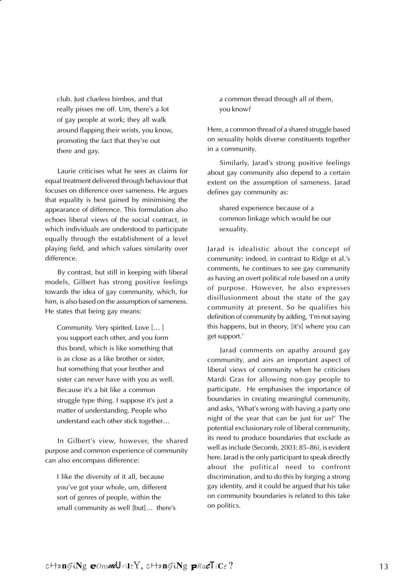club. Just clueless bimbos, and that really pisses me off. Um, there's a lot of gay people at work; they all walk around flapping their wrists, you know, promoting the fact that they're out there and gay.

Laurie criticises what he sees as claims for equal treatment delivered through behaviour that focuses on difference over sameness. He argues that equality is best gained by minimising the appearance of difference. This formulation also echoes liberal views of the social contract, in which individuals are understood to participate equally through the establishment of a level playing field, and which values similarity over difference.

By contrast, but still in keeping with liberal models, Gilbert has strong positive feelings towards the idea of gay community, which, for him, is also based on the assumption of sameness. He states that being gay means:

Community. Very spirited. Love [… ] you support each other, and you form this bond, which is like something that is as close as a like brother or sister, but something that your brother and sister can never have with you as well. Because it's a bit like a common struggle type thing. I suppose it's just a matter of understanding. People who understand each other stick together…

In Gilbert's view, however, the shared purpose and common experience of community can also encompass difference:

I like the diversity of it all, because you've got your whole, um, different sort of genres of people, within the small community as well [but]… there's a common thread through all of them, you know?

Here, a common thread of a shared struggle based on sexuality holds diverse constituents together in a community.

Similarly, Jarad's strong positive feelings about gay community also depend to a certain extent on the assumption of sameness. Jarad defines gay community as:

shared experience because of a common linkage which would be our sexuality.

Jarad is idealistic about the concept of community: indeed, in contrast to Ridge et al.'s comments, he continues to see gay community as having an overt political role based on a unity of purpose. However, he also expresses disillusionment about the state of the gay community at present. So he qualifies his definition of community by adding, 'I'm not saying this happens, but in theory, [it's] where you can get support.'

Jarad comments on apathy around gay community, and airs an important aspect of liberal views of community when he criticises Mardi Gras for allowing non-gay people to participate. He emphasises the importance of boundaries in creating meaningful community, and asks, 'What's wrong with having a party one night of the year that can be just for us?' The potential exclusionary role of liberal community, its need to produce boundaries that exclude as well as include (Secomb, 2003: 85–86), is evident here. Jarad is the only participant to speak directly about the political need to confront discrimination, and to do this by forging a strong gay identity, and it could be argued that his take on community boundaries is related to this take on politics.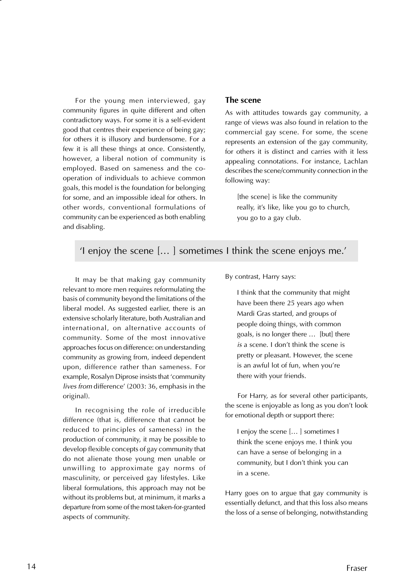For the young men interviewed, gay community figures in quite different and often contradictory ways. For some it is a self-evident good that centres their experience of being gay; for others it is illusory and burdensome. For a few it is all these things at once. Consistently, however, a liberal notion of community is employed. Based on sameness and the cooperation of individuals to achieve common goals, this model is the foundation for belonging for some, and an impossible ideal for others. In other words, conventional formulations of community can be experienced as both enabling and disabling.

#### **The scene**

As with attitudes towards gay community, a range of views was also found in relation to the commercial gay scene. For some, the scene represents an extension of the gay community, for others it is distinct and carries with it less appealing connotations. For instance, Lachlan describes the scene/community connection in the following way:

[the scene] is like the community really, it's like, like you go to church, you go to a gay club.

#### 'I enjoy the scene [… ] sometimes I think the scene enjoys me.'

It may be that making gay community relevant to more men requires reformulating the basis of community beyond the limitations of the liberal model. As suggested earlier, there is an extensive scholarly literature, both Australian and international, on alternative accounts of community. Some of the most innovative approaches focus on difference: on understanding community as growing from, indeed dependent upon, difference rather than sameness. For example, Rosalyn Diprose insists that 'community lives from difference' (2003: 36, emphasis in the original).

In recognising the role of irreducible difference (that is, difference that cannot be reduced to principles of sameness) in the production of community, it may be possible to develop flexible concepts of gay community that do not alienate those young men unable or unwilling to approximate gay norms of masculinity, or perceived gay lifestyles. Like liberal formulations, this approach may not be without its problems but, at minimum, it marks a departure from some of the most taken-for-granted aspects of community.

By contrast, Harry says:

I think that the community that might have been there 25 years ago when Mardi Gras started, and groups of people doing things, with common goals, is no longer there … [but] there is a scene. I don't think the scene is pretty or pleasant. However, the scene is an awful lot of fun, when you're there with your friends.

For Harry, as for several other participants, the scene is enjoyable as long as you don't look for emotional depth or support there:

I enjoy the scene [… ] sometimes I think the scene enjoys me. I think you can have a sense of belonging in a community, but I don't think you can in a scene.

Harry goes on to argue that gay community is essentially defunct, and that this loss also means the loss of a sense of belonging, notwithstanding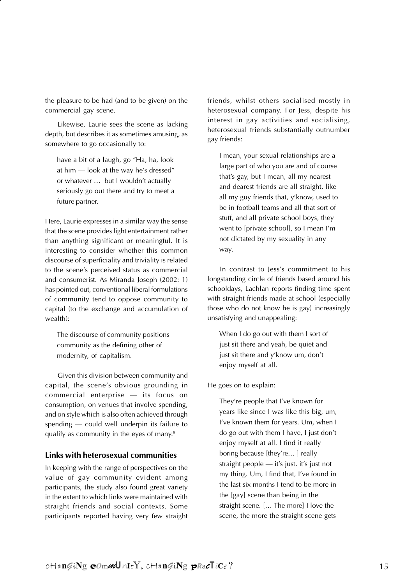the pleasure to be had (and to be given) on the commercial gay scene.

Likewise, Laurie sees the scene as lacking depth, but describes it as sometimes amusing, as somewhere to go occasionally to:

have a bit of a laugh, go "Ha, ha, look at him — look at the way he's dressed" or whatever … but I wouldn't actually seriously go out there and try to meet a future partner.

Here, Laurie expresses in a similar way the sense that the scene provides light entertainment rather than anything significant or meaningful. It is interesting to consider whether this common discourse of superficiality and triviality is related to the scene's perceived status as commercial and consumerist. As Miranda Joseph (2002: 1) has pointed out, conventional liberal formulations of community tend to oppose community to capital (to the exchange and accumulation of wealth):

The discourse of community positions community as the defining other of modernity, of capitalism.

Given this division between community and capital, the scene's obvious grounding in commercial enterprise — its focus on consumption, on venues that involve spending, and on style which is also often achieved through spending — could well underpin its failure to qualify as community in the eyes of many.<sup>9</sup>

#### **Links with heterosexual communities**

In keeping with the range of perspectives on the value of gay community evident among participants, the study also found great variety in the extent to which links were maintained with straight friends and social contexts. Some participants reported having very few straight

friends, whilst others socialised mostly in heterosexual company. For Jess, despite his interest in gay activities and socialising, heterosexual friends substantially outnumber gay friends:

I mean, your sexual relationships are a large part of who you are and of course that's gay, but I mean, all my nearest and dearest friends are all straight, like all my guy friends that, y'know, used to be in football teams and all that sort of stuff, and all private school boys, they went to [private school], so I mean I'm not dictated by my sexuality in any way.

In contrast to Jess's commitment to his longstanding circle of friends based around his schooldays, Lachlan reports finding time spent with straight friends made at school (especially those who do not know he is gay) increasingly unsatisfying and unappealing:

When I do go out with them I sort of just sit there and yeah, be quiet and just sit there and y'know um, don't enjoy myself at all.

He goes on to explain:

They're people that I've known for years like since I was like this big, um, I've known them for years. Um, when I do go out with them I have, I just don't enjoy myself at all. I find it really boring because [they're...] really straight people — it's just, it's just not my thing. Um, I find that, I've found in the last six months I tend to be more in the [gay] scene than being in the straight scene. [… The more] I love the scene, the more the straight scene gets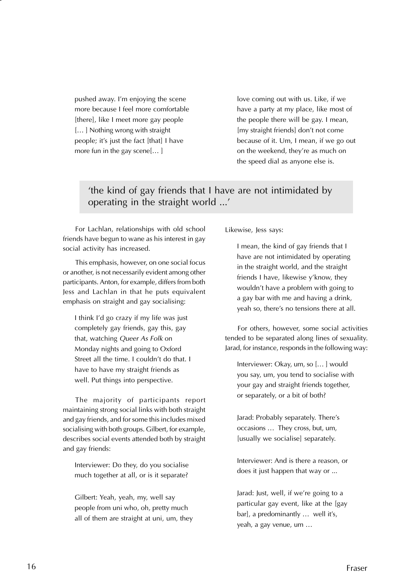pushed away. I'm enjoying the scene more because I feel more comfortable [there], like I meet more gay people [… ] Nothing wrong with straight people; it's just the fact [that] I have more fun in the gay scene[… ]

love coming out with us. Like, if we have a party at my place, like most of the people there will be gay. I mean, [my straight friends] don't not come because of it. Um, I mean, if we go out on the weekend, they're as much on the speed dial as anyone else is.

#### 'the kind of gay friends that I have are not intimidated by operating in the straight world ...'

For Lachlan, relationships with old school friends have begun to wane as his interest in gay social activity has increased.

This emphasis, however, on one social focus or another, is not necessarily evident among other participants. Anton, for example, differs from both Jess and Lachlan in that he puts equivalent emphasis on straight and gay socialising:

I think I'd go crazy if my life was just completely gay friends, gay this, gay that, watching Queer As Folk on Monday nights and going to Oxford Street all the time. I couldn't do that. I have to have my straight friends as well. Put things into perspective.

The majority of participants report maintaining strong social links with both straight and gay friends, and for some this includes mixed socialising with both groups. Gilbert, for example, describes social events attended both by straight and gay friends:

Interviewer: Do they, do you socialise much together at all, or is it separate?

Gilbert: Yeah, yeah, my, well say people from uni who, oh, pretty much all of them are straight at uni, um, they Likewise, Jess says:

I mean, the kind of gay friends that I have are not intimidated by operating in the straight world, and the straight friends I have, likewise y'know, they wouldn't have a problem with going to a gay bar with me and having a drink, yeah so, there's no tensions there at all.

For others, however, some social activities tended to be separated along lines of sexuality. Jarad, for instance, responds in the following way:

Interviewer: Okay, um, so [… ] would you say, um, you tend to socialise with your gay and straight friends together, or separately, or a bit of both?

Jarad: Probably separately. There's occasions … They cross, but, um, [usually we socialise] separately.

Interviewer: And is there a reason, or does it just happen that way or ...

Jarad: Just, well, if we're going to a particular gay event, like at the [gay bar], a predominantly … well it's, yeah, a gay venue, um …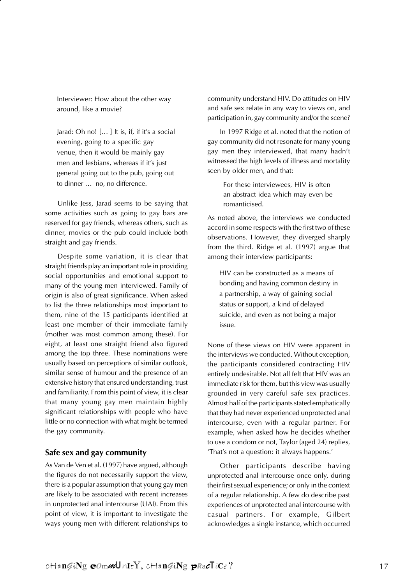Interviewer: How about the other way around, like a movie?

Jarad: Oh no! [… ] It is, if, if it's a social evening, going to a specific gay venue, then it would be mainly gay men and lesbians, whereas if it's just general going out to the pub, going out to dinner … no, no difference.

Unlike Jess, Jarad seems to be saying that some activities such as going to gay bars are reserved for gay friends, whereas others, such as dinner, movies or the pub could include both straight and gay friends.

Despite some variation, it is clear that straight friends play an important role in providing social opportunities and emotional support to many of the young men interviewed. Family of origin is also of great significance. When asked to list the three relationships most important to them, nine of the 15 participants identified at least one member of their immediate family (mother was most common among these). For eight, at least one straight friend also figured among the top three. These nominations were usually based on perceptions of similar outlook, similar sense of humour and the presence of an extensive history that ensured understanding, trust and familiarity. From this point of view, it is clear that many young gay men maintain highly significant relationships with people who have little or no connection with what might be termed the gay community.

#### **Safe sex and gay community**

As Van de Ven et al. (1997) have argued, although the figures do not necessarily support the view, there is a popular assumption that young gay men are likely to be associated with recent increases in unprotected anal intercourse (UAI). From this point of view, it is important to investigate the ways young men with different relationships to community understand HIV. Do attitudes on HIV and safe sex relate in any way to views on, and participation in, gay community and/or the scene?

In 1997 Ridge et al. noted that the notion of gay community did not resonate for many young gay men they interviewed, that many hadn't witnessed the high levels of illness and mortality seen by older men, and that:

> For these interviewees, HIV is often an abstract idea which may even be romanticised.

As noted above, the interviews we conducted accord in some respects with the first two of these observations. However, they diverged sharply from the third. Ridge et al. (1997) argue that among their interview participants:

HIV can be constructed as a means of bonding and having common destiny in a partnership, a way of gaining social status or support, a kind of delayed suicide, and even as not being a major issue.

None of these views on HIV were apparent in the interviews we conducted. Without exception, the participants considered contracting HIV entirely undesirable. Not all felt that HIV was an immediate risk for them, but this view was usually grounded in very careful safe sex practices. Almost half of the participants stated emphatically that they had never experienced unprotected anal intercourse, even with a regular partner. For example, when asked how he decides whether to use a condom or not, Taylor (aged 24) replies, 'That's not a question: it always happens.'

Other participants describe having unprotected anal intercourse once only, during their first sexual experience; or only in the context of a regular relationship. A few do describe past experiences of unprotected anal intercourse with casual partners. For example, Gilbert acknowledges a single instance, which occurred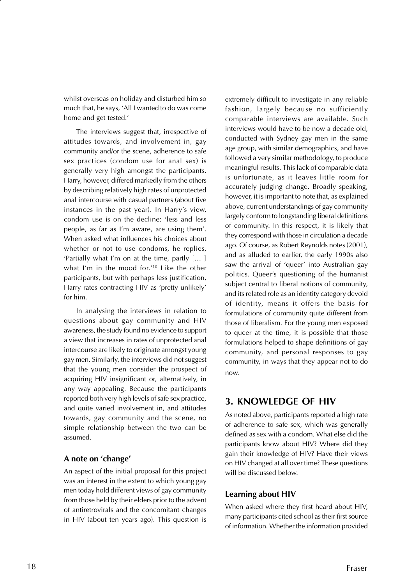whilst overseas on holiday and disturbed him so much that, he says, 'All I wanted to do was come home and get tested.'

The interviews suggest that, irrespective of attitudes towards, and involvement in, gay community and/or the scene, adherence to safe sex practices (condom use for anal sex) is generally very high amongst the participants. Harry, however, differed markedly from the others by describing relatively high rates of unprotected anal intercourse with casual partners (about five instances in the past year). In Harry's view, condom use is on the decline: 'less and less people, as far as I'm aware, are using them'. When asked what influences his choices about whether or not to use condoms, he replies, 'Partially what I'm on at the time, partly [… ] what I'm in the mood for.'10 Like the other participants, but with perhaps less justification, Harry rates contracting HIV as 'pretty unlikely' for him.

In analysing the interviews in relation to questions about gay community and HIV awareness, the study found no evidence to support a view that increases in rates of unprotected anal intercourse are likely to originate amongst young gay men. Similarly, the interviews did not suggest that the young men consider the prospect of acquiring HIV insignificant or, alternatively, in any way appealing. Because the participants reported both very high levels of safe sex practice, and quite varied involvement in, and attitudes towards, gay community and the scene, no simple relationship between the two can be assumed.

#### **A note on 'change'**

An aspect of the initial proposal for this project was an interest in the extent to which young gay men today hold different views of gay community from those held by their elders prior to the advent of antiretrovirals and the concomitant changes in HIV (about ten years ago). This question is extremely difficult to investigate in any reliable fashion, largely because no sufficiently comparable interviews are available. Such interviews would have to be now a decade old, conducted with Sydney gay men in the same age group, with similar demographics, and have followed a very similar methodology, to produce meaningful results. This lack of comparable data is unfortunate, as it leaves little room for accurately judging change. Broadly speaking, however, it is important to note that, as explained above, current understandings of gay community largely conform to longstanding liberal definitions of community. In this respect, it is likely that they correspond with those in circulation a decade ago. Of course, as Robert Reynolds notes (2001), and as alluded to earlier, the early 1990s also saw the arrival of 'queer' into Australian gay politics. Queer's questioning of the humanist subject central to liberal notions of community, and its related role as an identity category devoid of identity, means it offers the basis for formulations of community quite different from those of liberalism. For the young men exposed to queer at the time, it is possible that those formulations helped to shape definitions of gay community, and personal responses to gay community, in ways that they appear not to do now.

#### **3. KNOWLEDGE OF HIV**

As noted above, participants reported a high rate of adherence to safe sex, which was generally defined as sex with a condom. What else did the participants know about HIV? Where did they gain their knowledge of HIV? Have their views on HIV changed at all over time? These questions will be discussed below.

#### **Learning about HIV**

When asked where they first heard about HIV, many participants cited school as their first source of information. Whether the information provided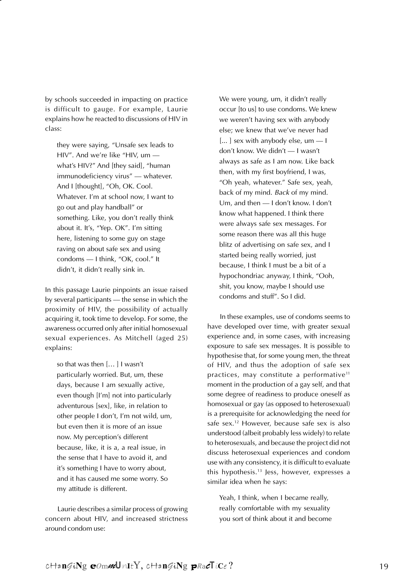by schools succeeded in impacting on practice is difficult to gauge. For example, Laurie explains how he reacted to discussions of HIV in class:

they were saying, "Unsafe sex leads to HIV". And we're like "HIV, um what's HIV?" And [they said], "human immunodeficiency virus" — whatever. And I [thought], "Oh, OK. Cool. Whatever. I'm at school now, I want to go out and play handball" or something. Like, you don't really think about it. It's, "Yep. OK". I'm sitting here, listening to some guy on stage raving on about safe sex and using condoms — I think, "OK, cool." It didn't, it didn't really sink in.

In this passage Laurie pinpoints an issue raised by several participants — the sense in which the proximity of HIV, the possibility of actually acquiring it, took time to develop. For some, the awareness occurred only after initial homosexual sexual experiences. As Mitchell (aged 25) explains:

so that was then [… ] I wasn't particularly worried. But, um, these days, because I am sexually active, even though [I'm] not into particularly adventurous [sex], like, in relation to other people I don't, I'm not wild, um, but even then it is more of an issue now. My perception's different because, like, it is a, a real issue, in the sense that I have to avoid it, and it's something I have to worry about, and it has caused me some worry. So my attitude is different.

Laurie describes a similar process of growing concern about HIV, and increased strictness around condom use:

We were young, um, it didn't really occur [to us] to use condoms. We knew we weren't having sex with anybody else; we knew that we've never had [...] sex with anybody else, um - I don't know. We didn't — I wasn't always as safe as I am now. Like back then, with my first boyfriend, I was, "Oh yeah, whatever." Safe sex, yeah, back of my mind. Back of my mind. Um, and then — I don't know. I don't know what happened. I think there were always safe sex messages. For some reason there was all this huge blitz of advertising on safe sex, and I started being really worried, just because, I think I must be a bit of a hypochondriac anyway, I think, "Ooh, shit, you know, maybe I should use condoms and stuff". So I did.

In these examples, use of condoms seems to have developed over time, with greater sexual experience and, in some cases, with increasing exposure to safe sex messages. It is possible to hypothesise that, for some young men, the threat of HIV, and thus the adoption of safe sex practices, may constitute a performative<sup>11</sup> moment in the production of a gay self, and that some degree of readiness to produce oneself as homosexual or gay (as opposed to heterosexual) is a prerequisite for acknowledging the need for safe sex.12 However, because safe sex is also understood (albeit probably less widely) to relate to heterosexuals, and because the project did not discuss heterosexual experiences and condom use with any consistency, it is difficult to evaluate this hypothesis.13 Jess, however, expresses a similar idea when he says:

Yeah, I think, when I became really, really comfortable with my sexuality you sort of think about it and become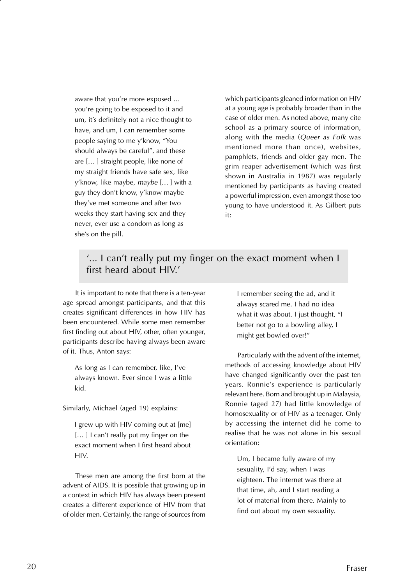aware that you're more exposed ... you're going to be exposed to it and um, it's definitely not a nice thought to have, and um, I can remember some people saying to me y'know, "You should always be careful", and these are [… ] straight people, like none of my straight friends have safe sex, like y'know, like maybe, maybe [… ] with a guy they don't know, y'know maybe they've met someone and after two weeks they start having sex and they never, ever use a condom as long as she's on the pill.

which participants gleaned information on HIV at a young age is probably broader than in the case of older men. As noted above, many cite school as a primary source of information, along with the media (Queer as Folk was mentioned more than once), websites, pamphlets, friends and older gay men. The grim reaper advertisement (which was first shown in Australia in 1987) was regularly mentioned by participants as having created a powerful impression, even amongst those too young to have understood it. As Gilbert puts it:

#### '... I can't really put my finger on the exact moment when I first heard about HIV.'

It is important to note that there is a ten-year age spread amongst participants, and that this creates significant differences in how HIV has been encountered. While some men remember first finding out about HIV, other, often younger, participants describe having always been aware of it. Thus, Anton says:

As long as I can remember, like, I've always known. Ever since I was a little kid.

Similarly, Michael (aged 19) explains:

I grew up with HIV coming out at [me] [...] I can't really put my finger on the exact moment when I first heard about HIV.

These men are among the first born at the advent of AIDS. It is possible that growing up in a context in which HIV has always been present creates a different experience of HIV from that of older men. Certainly, the range of sources from I remember seeing the ad, and it always scared me. I had no idea what it was about. I just thought, "I better not go to a bowling alley. I might get bowled over!"

Particularly with the advent of the internet, methods of accessing knowledge about HIV have changed significantly over the past ten years. Ronnie's experience is particularly relevant here. Born and brought up in Malaysia, Ronnie (aged 27) had little knowledge of homosexuality or of HIV as a teenager. Only by accessing the internet did he come to realise that he was not alone in his sexual orientation:

Um, I became fully aware of my sexuality, I'd say, when I was eighteen. The internet was there at that time, ah, and I start reading a lot of material from there. Mainly to find out about my own sexuality.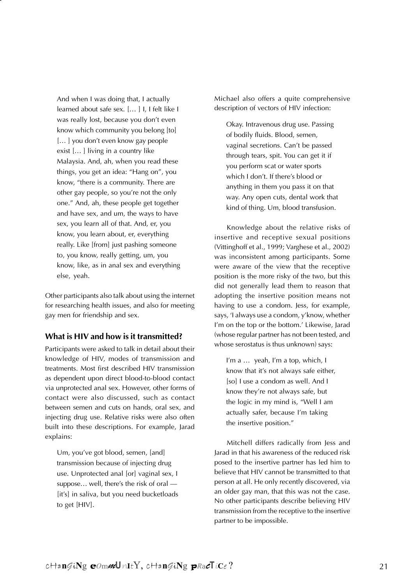And when I was doing that, I actually learned about safe sex. [… ] I, I felt like I was really lost, because you don't even know which community you belong [to] [...] you don't even know gay people exist [… ] living in a country like Malaysia. And, ah, when you read these things, you get an idea: "Hang on", you know, "there is a community. There are other gay people, so you're not the only one." And, ah, these people get together and have sex, and um, the ways to have sex, you learn all of that. And, er, you know, you learn about, er, everything really. Like [from] just pashing someone to, you know, really getting, um, you know, like, as in anal sex and everything else, yeah.

Other participants also talk about using the internet for researching health issues, and also for meeting gay men for friendship and sex.

#### **What is HIV and how is it transmitted?**

Participants were asked to talk in detail about their knowledge of HIV, modes of transmission and treatments. Most first described HIV transmission as dependent upon direct blood-to-blood contact via unprotected anal sex. However, other forms of contact were also discussed, such as contact between semen and cuts on hands, oral sex, and injecting drug use. Relative risks were also often built into these descriptions. For example, Jarad explains:

Um, you've got blood, semen, [and] transmission because of injecting drug use. Unprotected anal [or] vaginal sex, I suppose… well, there's the risk of oral — [it's] in saliva, but you need bucketloads to get [HIV].

Michael also offers a quite comprehensive description of vectors of HIV infection:

Okay. Intravenous drug use. Passing of bodily fluids. Blood, semen, vaginal secretions. Can't be passed through tears, spit. You can get it if you perform scat or water sports which I don't. If there's blood or anything in them you pass it on that way. Any open cuts, dental work that kind of thing. Um, blood transfusion.

Knowledge about the relative risks of insertive and receptive sexual positions (Vittinghoff et al., 1999; Varghese et al., 2002) was inconsistent among participants. Some were aware of the view that the receptive position is the more risky of the two, but this did not generally lead them to reason that adopting the insertive position means not having to use a condom. Jess, for example, says, 'I always use a condom, y'know, whether I'm on the top or the bottom.' Likewise, Jarad (whose regular partner has not been tested, and whose serostatus is thus unknown) says:

I'm a … yeah, I'm a top, which, I know that it's not always safe either, [so] I use a condom as well. And I know they're not always safe, but the logic in my mind is, "Well I am actually safer, because I'm taking the insertive position."

Mitchell differs radically from Jess and Jarad in that his awareness of the reduced risk posed to the insertive partner has led him to believe that HIV cannot be transmitted to that person at all. He only recently discovered, via an older gay man, that this was not the case. No other participants describe believing HIV transmission from the receptive to the insertive partner to be impossible.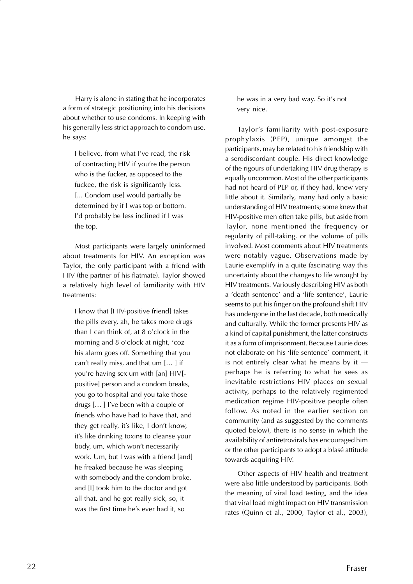Harry is alone in stating that he incorporates a form of strategic positioning into his decisions about whether to use condoms. In keeping with his generally less strict approach to condom use, he says:

I believe, from what I've read, the risk of contracting HIV if you're the person who is the fucker, as opposed to the fuckee, the risk is significantly less. [... Condom use] would partially be determined by if I was top or bottom. I'd probably be less inclined if I was the top.

Most participants were largely uninformed about treatments for HIV. An exception was Taylor, the only participant with a friend with HIV (the partner of his flatmate). Taylor showed a relatively high level of familiarity with HIV treatments:

I know that [HIV-positive friend] takes the pills every, ah, he takes more drugs than I can think of, at 8 o'clock in the morning and 8 o'clock at night, 'coz his alarm goes off. Something that you can't really miss, and that um [… ] if you're having sex um with [an] HIV[ positive] person and a condom breaks, you go to hospital and you take those drugs [… ] I've been with a couple of friends who have had to have that, and they get really, it's like, I don't know, it's like drinking toxins to cleanse your body, um, which won't necessarily work. Um, but I was with a friend [and] he freaked because he was sleeping with somebody and the condom broke, and [I] took him to the doctor and got all that, and he got really sick, so, it was the first time he's ever had it, so

he was in a very bad way. So it's not very nice.

Taylor's familiarity with post-exposure prophylaxis (PEP), unique amongst the participants, may be related to his friendship with a serodiscordant couple. His direct knowledge of the rigours of undertaking HIV drug therapy is equally uncommon. Most of the other participants had not heard of PEP or, if they had, knew very little about it. Similarly, many had only a basic understanding of HIV treatments; some knew that HIV-positive men often take pills, but aside from Taylor, none mentioned the frequency or regularity of pill-taking, or the volume of pills involved. Most comments about HIV treatments were notably vague. Observations made by Laurie exemplify in a quite fascinating way this uncertainty about the changes to life wrought by HIV treatments. Variously describing HIV as both a 'death sentence' and a 'life sentence', Laurie seems to put his finger on the profound shift HIV has undergone in the last decade, both medically and culturally. While the former presents HIV as a kind of capital punishment, the latter constructs it as a form of imprisonment. Because Laurie does not elaborate on his 'life sentence' comment, it is not entirely clear what he means by it perhaps he is referring to what he sees as inevitable restrictions HIV places on sexual activity, perhaps to the relatively regimented medication regime HIV-positive people often follow. As noted in the earlier section on community (and as suggested by the comments quoted below), there is no sense in which the availability of antiretrovirals has encouraged him or the other participants to adopt a blasé attitude towards acquiring HIV.

Other aspects of HIV health and treatment were also little understood by participants. Both the meaning of viral load testing, and the idea that viral load might impact on HIV transmission rates (Quinn et al., 2000, Taylor et al., 2003),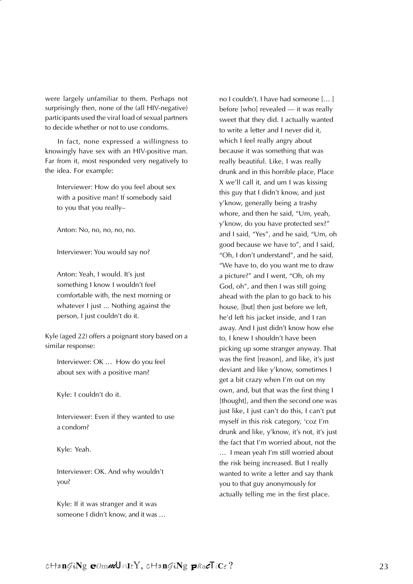were largely unfamiliar to them. Perhaps not surprisingly then, none of the (all HIV-negative) participants used the viral load of sexual partners to decide whether or not to use condoms.

In fact, none expressed a willingness to knowingly have sex with an HIV-positive man. Far from it, most responded very negatively to the idea. For example:

Interviewer: How do you feel about sex with a positive man? If somebody said to you that you really–

Anton: No, no, no, no, no.

Interviewer: You would say no?

Anton: Yeah, I would. It's just something I know I wouldn't feel comfortable with, the next morning or whatever I just ... Nothing against the person, I just couldn't do it.

Kyle (aged 22) offers a poignant story based on a similar response:

Interviewer: OK … How do you feel about sex with a positive man?

Kyle: I couldn't do it.

Interviewer: Even if they wanted to use a condom?

Kyle: Yeah.

Interviewer: OK. And why wouldn't you?

Kyle: If it was stranger and it was someone I didn't know, and it was … no I couldn't. I have had someone [… ] before [who] revealed — it was really sweet that they did. I actually wanted to write a letter and I never did it, which I feel really angry about because it was something that was really beautiful. Like, I was really drunk and in this horrible place, Place X we'll call it, and um I was kissing this guy that I didn't know, and just y'know, generally being a trashy whore, and then he said, "Um, yeah, y'know, do you have protected sex?" and I said, "Yes", and he said, "Um, oh good because we have to", and I said, "Oh, I don't understand", and he said, "We have to, do you want me to draw a picture?" and I went, "Oh, oh my God, oh", and then I was still going ahead with the plan to go back to his house, [but] then just before we left, he'd left his jacket inside, and I ran away. And I just didn't know how else to, I knew I shouldn't have been picking up some stranger anyway. That was the first [reason], and like, it's just deviant and like y'know, sometimes I get a bit crazy when I'm out on my own, and, but that was the first thing I [thought], and then the second one was just like, I just can't do this, I can't put myself in this risk category, 'coz I'm drunk and like, y'know, it's not, it's just the fact that I'm worried about, not the … I mean yeah I'm still worried about the risk being increased. But I really wanted to write a letter and say thank you to that guy anonymously for actually telling me in the first place.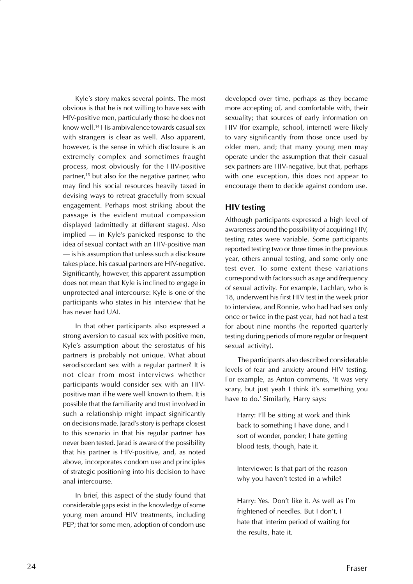Kyle's story makes several points. The most obvious is that he is not willing to have sex with HIV-positive men, particularly those he does not know well.14 His ambivalence towards casual sex with strangers is clear as well. Also apparent, however, is the sense in which disclosure is an extremely complex and sometimes fraught process, most obviously for the HIV-positive partner,15 but also for the negative partner, who may find his social resources heavily taxed in devising ways to retreat gracefully from sexual engagement. Perhaps most striking about the passage is the evident mutual compassion displayed (admittedly at different stages). Also implied — in Kyle's panicked response to the idea of sexual contact with an HIV-positive man — is his assumption that unless such a disclosure takes place, his casual partners are HIV-negative. Significantly, however, this apparent assumption does not mean that Kyle is inclined to engage in unprotected anal intercourse: Kyle is one of the participants who states in his interview that he has never had UAI.

In that other participants also expressed a strong aversion to casual sex with positive men, Kyle's assumption about the serostatus of his partners is probably not unique. What about serodiscordant sex with a regular partner? It is not clear from most interviews whether participants would consider sex with an HIVpositive man if he were well known to them. It is possible that the familiarity and trust involved in such a relationship might impact significantly on decisions made. Jarad's story is perhaps closest to this scenario in that his regular partner has never been tested. Jarad is aware of the possibility that his partner is HIV-positive, and, as noted above, incorporates condom use and principles of strategic positioning into his decision to have anal intercourse.

In brief, this aspect of the study found that considerable gaps exist in the knowledge of some young men around HIV treatments, including PEP; that for some men, adoption of condom use developed over time, perhaps as they became more accepting of, and comfortable with, their sexuality; that sources of early information on HIV (for example, school, internet) were likely to vary significantly from those once used by older men, and; that many young men may operate under the assumption that their casual sex partners are HIV-negative, but that, perhaps with one exception, this does not appear to encourage them to decide against condom use.

#### **HIV testing**

Although participants expressed a high level of awareness around the possibility of acquiring HIV, testing rates were variable. Some participants reported testing two or three times in the previous year, others annual testing, and some only one test ever. To some extent these variations correspond with factors such as age and frequency of sexual activity. For example, Lachlan, who is 18, underwent his first HIV test in the week prior to interview, and Ronnie, who had had sex only once or twice in the past year, had not had a test for about nine months (he reported quarterly testing during periods of more regular or frequent sexual activity).

The participants also described considerable levels of fear and anxiety around HIV testing. For example, as Anton comments, 'It was very scary, but just yeah I think it's something you have to do.' Similarly, Harry says:

Harry: I'll be sitting at work and think back to something I have done, and I sort of wonder, ponder; I hate getting blood tests, though, hate it.

Interviewer: Is that part of the reason why you haven't tested in a while?

Harry: Yes. Don't like it. As well as I'm frightened of needles. But I don't, I hate that interim period of waiting for the results, hate it.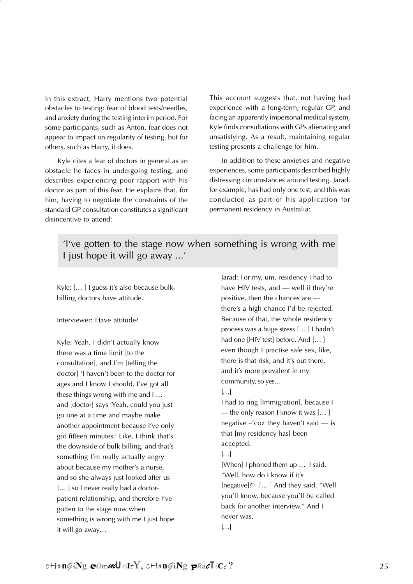In this extract, Harry mentions two potential obstacles to testing: fear of blood tests/needles, and anxiety during the testing interim period. For some participants, such as Anton, fear does not appear to impact on regularity of testing, but for others, such as Harry, it does.

Kyle cites a fear of doctors in general as an obstacle he faces in undergoing testing, and describes experiencing poor rapport with his doctor as part of this fear. He explains that, for him, having to negotiate the constraints of the standard GP consultation constitutes a significant disincentive to attend:

This account suggests that, not having had experience with a long-term, regular GP, and facing an apparently impersonal medical system, Kyle finds consultations with GPs alienating and unsatisfying. As a result, maintaining regular testing presents a challenge for him.

In addition to these anxieties and negative experiences, some participants described highly distressing circumstances around testing. Jarad, for example, has had only one test, and this was conducted as part of his application for permanent residency in Australia:

'I've gotten to the stage now when something is wrong with me I just hope it will go away ...'

Kyle: [… ] I guess it's also because bulkbilling doctors have attitude.

Interviewer: Have attitude?

Kyle: Yeah, I didn't actually know there was a time limit [to the consultation], and I'm [telling the doctor] 'I haven't been to the doctor for ages and I know I should, I've got all these things wrong with me and I … and [doctor] says 'Yeah, could you just go one at a time and maybe make another appointment because I've only got fifteen minutes.' Like, I think that's the downside of bulk billing, and that's something I'm really actually angry about because my mother's a nurse, and so she always just looked after us [...] so I never really had a doctorpatient relationship, and therefore I've gotten to the stage now when something is wrong with me I just hope it will go away…

Jarad: For my, um, residency I had to have HIV tests, and — well if they're positive, then the chances are there's a high chance I'd be rejected. Because of that, the whole residency process was a huge stress [… ] I hadn't had one [HIV test] before. And [...] even though I practise safe sex, like, there is that risk, and it's out there, and it's more prevalent in my community, so yes…  $\left[\ldots\right]$ I had to ring [Immigration], because I — the only reason I know it was [… ] negative –'coz they haven't said — is that [my residency has] been accepted.  $\left[\ldots\right]$ [When] I phoned them up … I said, "Well, how do I know if it's [negative]?" [… ] And they said, "Well you'll know, because you'll be called back for another interview." And I never was.  $\left[\ldots\right]$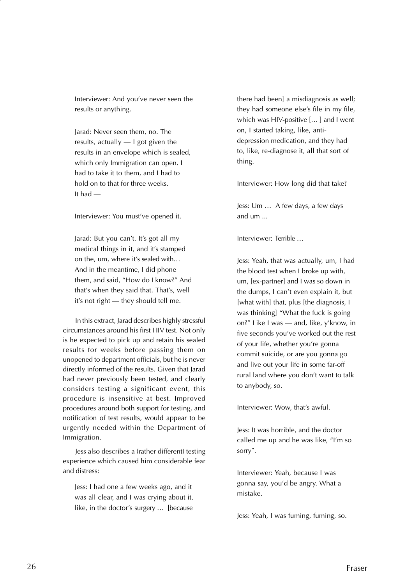Interviewer: And you've never seen the results or anything.

Jarad: Never seen them, no. The results, actually — I got given the results in an envelope which is sealed, which only Immigration can open. I had to take it to them, and I had to hold on to that for three weeks. It had —

Interviewer: You must've opened it.

Jarad: But you can't. It's got all my medical things in it, and it's stamped on the, um, where it's sealed with… And in the meantime, I did phone them, and said, "How do I know?" And that's when they said that. That's, well it's not right — they should tell me.

In this extract, Jarad describes highly stressful circumstances around his first HIV test. Not only is he expected to pick up and retain his sealed results for weeks before passing them on unopened to department officials, but he is never directly informed of the results. Given that Jarad had never previously been tested, and clearly considers testing a significant event, this procedure is insensitive at best. Improved procedures around both support for testing, and notification of test results, would appear to be urgently needed within the Department of Immigration.

Jess also describes a (rather different) testing experience which caused him considerable fear and distress:

Jess: I had one a few weeks ago, and it was all clear, and I was crying about it, like, in the doctor's surgery … [because

there had been] a misdiagnosis as well; they had someone else's file in my file, which was HIV-positive [… ] and I went on, I started taking, like, antidepression medication, and they had to, like, re-diagnose it, all that sort of thing.

Interviewer: How long did that take?

Jess: Um … A few days, a few days and um ...

Interviewer: Terrible …

Jess: Yeah, that was actually, um, I had the blood test when I broke up with, um, [ex-partner] and I was so down in the dumps, I can't even explain it, but [what with] that, plus [the diagnosis, I was thinking] "What the fuck is going on?" Like I was — and, like, y'know, in five seconds you've worked out the rest of your life, whether you're gonna commit suicide, or are you gonna go and live out your life in some far-off rural land where you don't want to talk to anybody, so.

Interviewer: Wow, that's awful.

Jess: It was horrible, and the doctor called me up and he was like, "I'm so sorry".

Interviewer: Yeah, because I was gonna say, you'd be angry. What a mistake.

Jess: Yeah, I was fuming, fuming, so.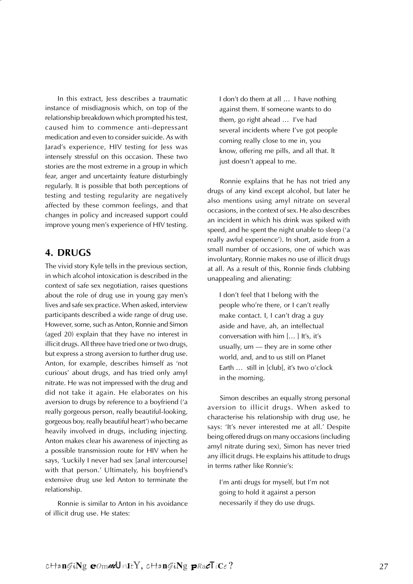In this extract, Jess describes a traumatic instance of misdiagnosis which, on top of the relationship breakdown which prompted his test, caused him to commence anti-depressant medication and even to consider suicide. As with Jarad's experience, HIV testing for Jess was intensely stressful on this occasion. These two stories are the most extreme in a group in which fear, anger and uncertainty feature disturbingly regularly. It is possible that both perceptions of testing and testing regularity are negatively affected by these common feelings, and that changes in policy and increased support could improve young men's experience of HIV testing.

#### **4. DRUGS**

The vivid story Kyle tells in the previous section, in which alcohol intoxication is described in the context of safe sex negotiation, raises questions about the role of drug use in young gay men's lives and safe sex practice. When asked, interview participants described a wide range of drug use. However, some, such as Anton, Ronnie and Simon (aged 20) explain that they have no interest in illicit drugs. All three have tried one or two drugs, but express a strong aversion to further drug use. Anton, for example, describes himself as 'not curious' about drugs, and has tried only amyl nitrate. He was not impressed with the drug and did not take it again. He elaborates on his aversion to drugs by reference to a boyfriend ('a really gorgeous person, really beautiful-looking, gorgeous boy, really beautiful heart') who became heavily involved in drugs, including injecting. Anton makes clear his awareness of injecting as a possible transmission route for HIV when he says, 'Luckily I never had sex [anal intercourse] with that person.' Ultimately, his boyfriend's extensive drug use led Anton to terminate the relationship.

Ronnie is similar to Anton in his avoidance of illicit drug use. He states:

I don't do them at all … I have nothing against them. If someone wants to do them, go right ahead … I've had several incidents where I've got people coming really close to me in, you know, offering me pills, and all that. It just doesn't appeal to me.

Ronnie explains that he has not tried any drugs of any kind except alcohol, but later he also mentions using amyl nitrate on several occasions, in the context of sex. He also describes an incident in which his drink was spiked with speed, and he spent the night unable to sleep ('a really awful experience'). In short, aside from a small number of occasions, one of which was involuntary, Ronnie makes no use of illicit drugs at all. As a result of this, Ronnie finds clubbing unappealing and alienating:

I don't feel that I belong with the people who're there, or I can't really make contact. I, I can't drag a guy aside and have, ah, an intellectual conversation with him [… ] It's, it's usually, um — they are in some other world, and, and to us still on Planet Earth … still in [club], it's two o'clock in the morning.

Simon describes an equally strong personal aversion to illicit drugs. When asked to characterise his relationship with drug use, he says: 'It's never interested me at all.' Despite being offered drugs on many occasions (including amyl nitrate during sex), Simon has never tried any illicit drugs. He explains his attitude to drugs in terms rather like Ronnie's:

I'm anti drugs for myself, but I'm not going to hold it against a person necessarily if they do use drugs.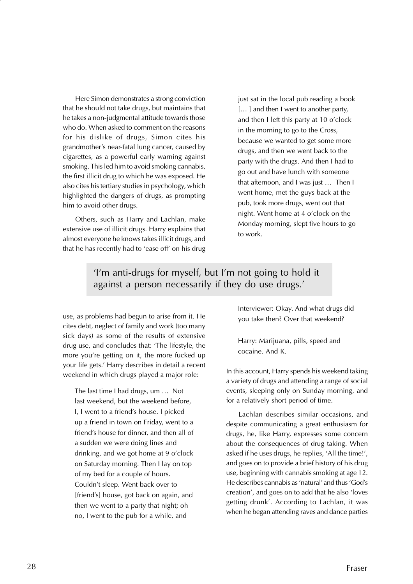Here Simon demonstrates a strong conviction that he should not take drugs, but maintains that he takes a non-judgmental attitude towards those who do. When asked to comment on the reasons for his dislike of drugs, Simon cites his grandmother's near-fatal lung cancer, caused by cigarettes, as a powerful early warning against smoking. This led him to avoid smoking cannabis, the first illicit drug to which he was exposed. He also cites his tertiary studies in psychology, which highlighted the dangers of drugs, as prompting him to avoid other drugs.

Others, such as Harry and Lachlan, make extensive use of illicit drugs. Harry explains that almost everyone he knows takes illicit drugs, and that he has recently had to 'ease off' on his drug just sat in the local pub reading a book [...] and then I went to another party, and then I left this party at 10 o'clock in the morning to go to the Cross, because we wanted to get some more drugs, and then we went back to the party with the drugs. And then I had to go out and have lunch with someone that afternoon, and I was just … Then I went home, met the guys back at the pub, took more drugs, went out that night. Went home at 4 o'clock on the Monday morning, slept five hours to go to work.

#### 'I'm anti-drugs for myself, but I'm not going to hold it against a person necessarily if they do use drugs.'

use, as problems had begun to arise from it. He cites debt, neglect of family and work (too many sick days) as some of the results of extensive drug use, and concludes that: 'The lifestyle, the more you're getting on it, the more fucked up your life gets.' Harry describes in detail a recent weekend in which drugs played a major role:

The last time I had drugs, um … Not last weekend, but the weekend before, I, I went to a friend's house. I picked up a friend in town on Friday, went to a friend's house for dinner, and then all of a sudden we were doing lines and drinking, and we got home at 9 o'clock on Saturday morning. Then I lay on top of my bed for a couple of hours. Couldn't sleep. Went back over to [friend's] house, got back on again, and then we went to a party that night; oh no, I went to the pub for a while, and

Interviewer: Okay. And what drugs did you take then? Over that weekend?

Harry: Marijuana, pills, speed and cocaine. And K.

In this account, Harry spends his weekend taking a variety of drugs and attending a range of social events, sleeping only on Sunday morning, and for a relatively short period of time.

Lachlan describes similar occasions, and despite communicating a great enthusiasm for drugs, he, like Harry, expresses some concern about the consequences of drug taking. When asked if he uses drugs, he replies, 'All the time!', and goes on to provide a brief history of his drug use, beginning with cannabis smoking at age 12. He describes cannabis as 'natural' and thus 'God's creation', and goes on to add that he also 'loves getting drunk'. According to Lachlan, it was when he began attending raves and dance parties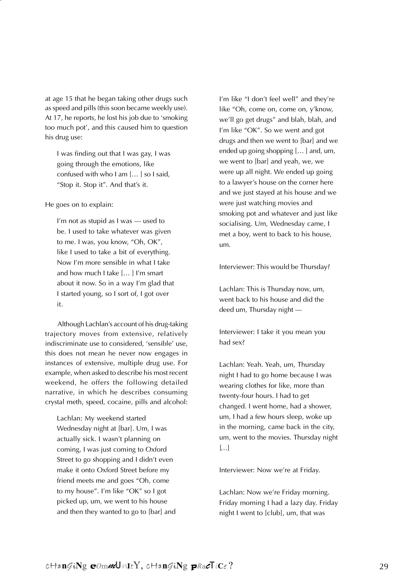at age 15 that he began taking other drugs such as speed and pills (this soon became weekly use). At 17, he reports, he lost his job due to 'smoking too much pot', and this caused him to question his drug use:

I was finding out that I was gay, I was going through the emotions, like confused with who I am [… ] so I said, "Stop it. Stop it". And that's it.

He goes on to explain:

I'm not as stupid as I was — used to be. I used to take whatever was given to me. I was, you know, "Oh, OK", like I used to take a bit of everything. Now I'm more sensible in what I take and how much I take [… ] I'm smart about it now. So in a way I'm glad that I started young, so I sort of, I got over it.

Although Lachlan's account of his drug-taking trajectory moves from extensive, relatively indiscriminate use to considered, 'sensible' use, this does not mean he never now engages in instances of extensive, multiple drug use. For example, when asked to describe his most recent weekend, he offers the following detailed narrative, in which he describes consuming crystal meth, speed, cocaine, pills and alcohol:

Lachlan: My weekend started Wednesday night at [bar]. Um, I was actually sick. I wasn't planning on coming, I was just coming to Oxford Street to go shopping and I didn't even make it onto Oxford Street before my friend meets me and goes "Oh, come to my house". I'm like "OK" so I got picked up, um, we went to his house and then they wanted to go to [bar] and I'm like "I don't feel well" and they're like "Oh, come on, come on, y'know, we'll go get drugs" and blah, blah, and I'm like "OK". So we went and got drugs and then we went to [bar] and we ended up going shopping [… ] and, um, we went to [bar] and yeah, we, we were up all night. We ended up going to a lawyer's house on the corner here and we just stayed at his house and we were just watching movies and smoking pot and whatever and just like socialising. Um, Wednesday came, I met a boy, went to back to his house, um.

Interviewer: This would be Thursday?

Lachlan: This is Thursday now, um, went back to his house and did the deed um, Thursday night —

Interviewer: I take it you mean you had sex?

Lachlan: Yeah. Yeah, um, Thursday night I had to go home because I was wearing clothes for like, more than twenty-four hours. I had to get changed. I went home, had a shower, um, I had a few hours sleep, woke up in the morning, came back in the city, um, went to the movies. Thursday night  $\left[\ldots\right]$ 

Interviewer: Now we're at Friday.

Lachlan: Now we're Friday morning. Friday morning I had a lazy day. Friday night I went to [club], um, that was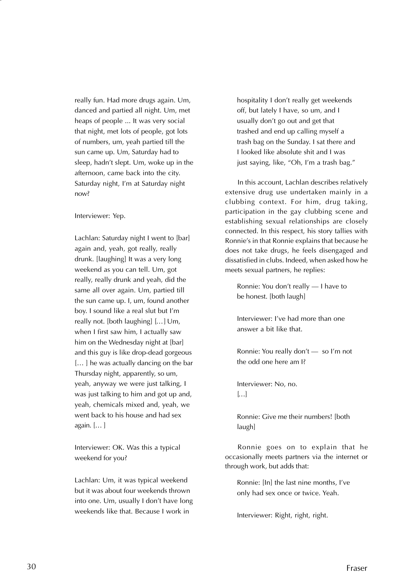really fun. Had more drugs again. Um, danced and partied all night. Um, met heaps of people ... It was very social that night, met lots of people, got lots of numbers, um, yeah partied till the sun came up. Um, Saturday had to sleep, hadn't slept. Um, woke up in the afternoon, came back into the city. Saturday night, I'm at Saturday night now?

Interviewer: Yep.

Lachlan: Saturday night I went to [bar] again and, yeah, got really, really drunk. [laughing] It was a very long weekend as you can tell. Um, got really, really drunk and yeah, did the same all over again. Um, partied till the sun came up. I, um, found another boy. I sound like a real slut but I'm really not. [both laughing] [… ] Um, when I first saw him, I actually saw him on the Wednesday night at [bar] and this guy is like drop-dead gorgeous [...] he was actually dancing on the bar Thursday night, apparently, so um, yeah, anyway we were just talking, I was just talking to him and got up and, yeah, chemicals mixed and, yeah, we went back to his house and had sex again. [… ]

Interviewer: OK. Was this a typical weekend for you?

Lachlan: Um, it was typical weekend but it was about four weekends thrown into one. Um, usually I don't have long weekends like that. Because I work in

hospitality I don't really get weekends off, but lately I have, so um, and I usually don't go out and get that trashed and end up calling myself a trash bag on the Sunday. I sat there and I looked like absolute shit and I was just saying, like, "Oh, I'm a trash bag."

In this account, Lachlan describes relatively extensive drug use undertaken mainly in a clubbing context. For him, drug taking, participation in the gay clubbing scene and establishing sexual relationships are closely connected. In this respect, his story tallies with Ronnie's in that Ronnie explains that because he does not take drugs, he feels disengaged and dissatisfied in clubs. Indeed, when asked how he meets sexual partners, he replies:

Ronnie: You don't really — I have to be honest. [both laugh]

Interviewer: I've had more than one answer a bit like that.

Ronnie: You really don't — so I'm not the odd one here am I?

Interviewer: No, no.  $\left[\ldots\right]$ 

Ronnie: Give me their numbers! [both laugh]

Ronnie goes on to explain that he occasionally meets partners via the internet or through work, but adds that:

Ronnie: [In] the last nine months, I've only had sex once or twice. Yeah.

Interviewer: Right, right, right.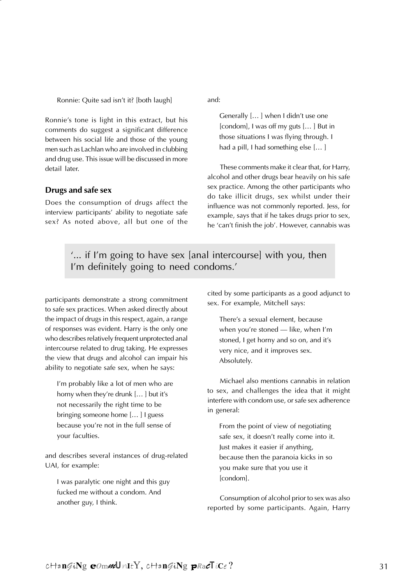Ronnie: Quite sad isn't it? [both laugh]

Ronnie's tone is light in this extract, but his comments do suggest a significant difference between his social life and those of the young men such as Lachlan who are involved in clubbing and drug use. This issue will be discussed in more detail later.

#### **Drugs and safe sex**

Does the consumption of drugs affect the interview participants' ability to negotiate safe sex? As noted above, all but one of the and:

Generally [… ] when I didn't use one [condom], I was off my guts [… ] But in those situations I was flying through. I had a pill, I had something else [… ]

These comments make it clear that, for Harry, alcohol and other drugs bear heavily on his safe sex practice. Among the other participants who do take illicit drugs, sex whilst under their influence was not commonly reported. Jess, for example, says that if he takes drugs prior to sex, he 'can't finish the job'. However, cannabis was

'... if I'm going to have sex [anal intercourse] with you, then I'm definitely going to need condoms.'

participants demonstrate a strong commitment to safe sex practices. When asked directly about the impact of drugs in this respect, again, a range of responses was evident. Harry is the only one who describes relatively frequent unprotected anal intercourse related to drug taking. He expresses the view that drugs and alcohol can impair his ability to negotiate safe sex, when he says:

I'm probably like a lot of men who are horny when they're drunk [… ] but it's not necessarily the right time to be bringing someone home [… ] I guess because you're not in the full sense of your faculties.

and describes several instances of drug-related UAI, for example:

I was paralytic one night and this guy fucked me without a condom. And another guy, I think.

cited by some participants as a good adjunct to sex. For example, Mitchell says:

There's a sexual element, because when you're stoned — like, when I'm stoned, I get horny and so on, and it's very nice, and it improves sex. Absolutely.

Michael also mentions cannabis in relation to sex, and challenges the idea that it might interfere with condom use, or safe sex adherence in general:

From the point of view of negotiating safe sex, it doesn't really come into it. Just makes it easier if anything, because then the paranoia kicks in so you make sure that you use it [condom].

Consumption of alcohol prior to sex was also reported by some participants. Again, Harry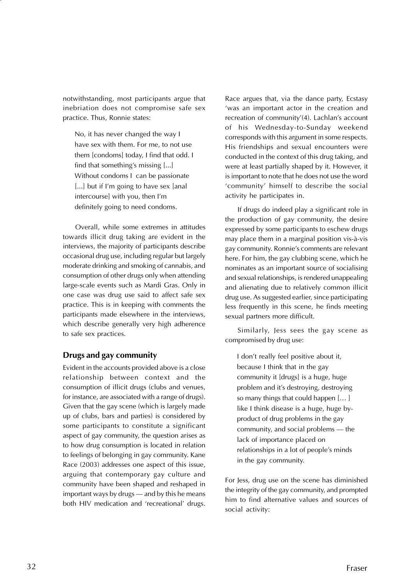notwithstanding, most participants argue that inebriation does not compromise safe sex practice. Thus, Ronnie states:

No, it has never changed the way I have sex with them. For me, to not use them [condoms] today, I find that odd. I find that something's missing [...] Without condoms I can be passionate [...] but if I'm going to have sex [anal] intercourse] with you, then I'm definitely going to need condoms.

Overall, while some extremes in attitudes towards illicit drug taking are evident in the interviews, the majority of participants describe occasional drug use, including regular but largely moderate drinking and smoking of cannabis, and consumption of other drugs only when attending large-scale events such as Mardi Gras. Only in one case was drug use said to affect safe sex practice. This is in keeping with comments the participants made elsewhere in the interviews, which describe generally very high adherence to safe sex practices.

#### **Drugs and gay community**

Evident in the accounts provided above is a close relationship between context and the consumption of illicit drugs (clubs and venues, for instance, are associated with a range of drugs). Given that the gay scene (which is largely made up of clubs, bars and parties) is considered by some participants to constitute a significant aspect of gay community, the question arises as to how drug consumption is located in relation to feelings of belonging in gay community. Kane Race (2003) addresses one aspect of this issue, arguing that contemporary gay culture and community have been shaped and reshaped in important ways by drugs — and by this he means both HIV medication and 'recreational' drugs.

Race argues that, via the dance party, Ecstasy 'was an important actor in the creation and recreation of community'(4). Lachlan's account of his Wednesday-to-Sunday weekend corresponds with this argument in some respects. His friendships and sexual encounters were conducted in the context of this drug taking, and were at least partially shaped by it. However, it is important to note that he does not use the word 'community' himself to describe the social activity he participates in.

If drugs do indeed play a significant role in the production of gay community, the desire expressed by some participants to eschew drugs may place them in a marginal position vis-à-vis gay community. Ronnie's comments are relevant here. For him, the gay clubbing scene, which he nominates as an important source of socialising and sexual relationships, is rendered unappealing and alienating due to relatively common illicit drug use. As suggested earlier, since participating less frequently in this scene, he finds meeting sexual partners more difficult.

Similarly, Jess sees the gay scene as compromised by drug use:

I don't really feel positive about it, because I think that in the gay community it [drugs] is a huge, huge problem and it's destroying, destroying so many things that could happen [… ] like I think disease is a huge, huge byproduct of drug problems in the gay community, and social problems — the lack of importance placed on relationships in a lot of people's minds in the gay community.

For Jess, drug use on the scene has diminished the integrity of the gay community, and prompted him to find alternative values and sources of social activity: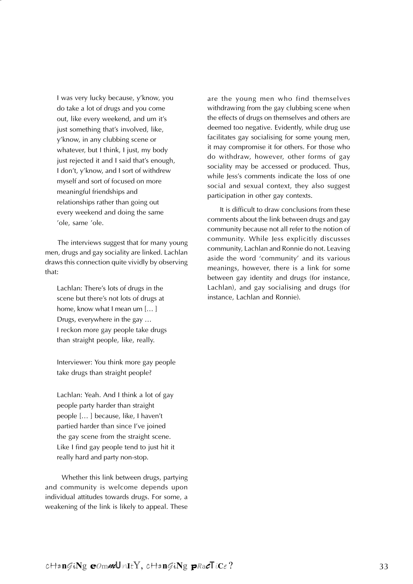I was very lucky because, y'know, you do take a lot of drugs and you come out, like every weekend, and um it's just something that's involved, like, y'know, in any clubbing scene or whatever, but I think, I just, my body just rejected it and I said that's enough, I don't, y'know, and I sort of withdrew myself and sort of focused on more meaningful friendships and relationships rather than going out every weekend and doing the same 'ole, same 'ole.

The interviews suggest that for many young men, drugs and gay sociality are linked. Lachlan draws this connection quite vividly by observing that:

Lachlan: There's lots of drugs in the scene but there's not lots of drugs at home, know what I mean um [… ] Drugs, everywhere in the gay … I reckon more gay people take drugs than straight people, like, really.

Interviewer: You think more gay people take drugs than straight people?

Lachlan: Yeah. And I think a lot of gay people party harder than straight people [… ] because, like, I haven't partied harder than since I've joined the gay scene from the straight scene. Like I find gay people tend to just hit it really hard and party non-stop.

 Whether this link between drugs, partying and community is welcome depends upon individual attitudes towards drugs. For some, a weakening of the link is likely to appeal. These

are the young men who find themselves withdrawing from the gay clubbing scene when the effects of drugs on themselves and others are deemed too negative. Evidently, while drug use facilitates gay socialising for some young men, it may compromise it for others. For those who do withdraw, however, other forms of gay sociality may be accessed or produced. Thus, while Jess's comments indicate the loss of one social and sexual context, they also suggest participation in other gay contexts.

It is difficult to draw conclusions from these comments about the link between drugs and gay community because not all refer to the notion of community. While Jess explicitly discusses community, Lachlan and Ronnie do not. Leaving aside the word 'community' and its various meanings, however, there is a link for some between gay identity and drugs (for instance, Lachlan), and gay socialising and drugs (for instance, Lachlan and Ronnie).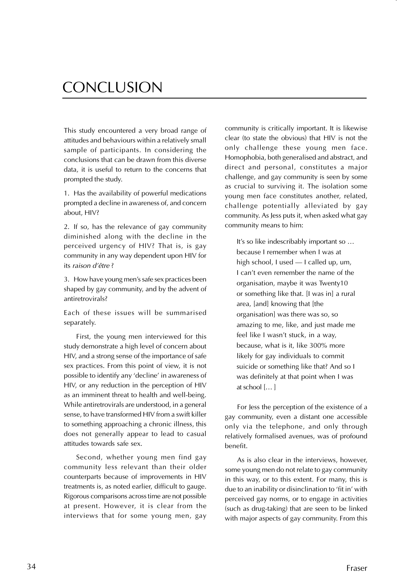## CONCLUSION

This study encountered a very broad range of attitudes and behaviours within a relatively small sample of participants. In considering the conclusions that can be drawn from this diverse data, it is useful to return to the concerns that prompted the study.

1. Has the availability of powerful medications prompted a decline in awareness of, and concern about, HIV?

2. If so, has the relevance of gay community diminished along with the decline in the perceived urgency of HIV? That is, is gay community in any way dependent upon HIV for its raison d'être ?

3. How have young men's safe sex practices been shaped by gay community, and by the advent of antiretrovirals?

Each of these issues will be summarised separately.

First, the young men interviewed for this study demonstrate a high level of concern about HIV, and a strong sense of the importance of safe sex practices. From this point of view, it is not possible to identify any 'decline' in awareness of HIV, or any reduction in the perception of HIV as an imminent threat to health and well-being. While antiretrovirals are understood, in a general sense, to have transformed HIV from a swift killer to something approaching a chronic illness, this does not generally appear to lead to casual attitudes towards safe sex.

Second, whether young men find gay community less relevant than their older counterparts because of improvements in HIV treatments is, as noted earlier, difficult to gauge. Rigorous comparisons across time are not possible at present. However, it is clear from the interviews that for some young men, gay

community is critically important. It is likewise clear (to state the obvious) that HIV is not the only challenge these young men face. Homophobia, both generalised and abstract, and direct and personal, constitutes a major challenge, and gay community is seen by some as crucial to surviving it. The isolation some young men face constitutes another, related, challenge potentially alleviated by gay community. As Jess puts it, when asked what gay community means to him:

It's so like indescribably important so … because I remember when I was at high school, I used — I called up, um, I can't even remember the name of the organisation, maybe it was Twenty10 or something like that. [I was in] a rural area, [and] knowing that [the organisation] was there was so, so amazing to me, like, and just made me feel like I wasn't stuck, in a way, because, what is it, like 300% more likely for gay individuals to commit suicide or something like that? And so I was definitely at that point when I was at school [… ]

For Jess the perception of the existence of a gay community, even a distant one accessible only via the telephone, and only through relatively formalised avenues, was of profound benefit.

As is also clear in the interviews, however, some young men do not relate to gay community in this way, or to this extent. For many, this is due to an inability or disinclination to 'fit in' with perceived gay norms, or to engage in activities (such as drug-taking) that are seen to be linked with major aspects of gay community. From this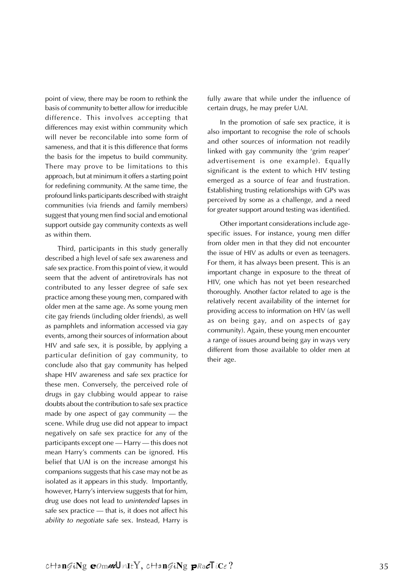point of view, there may be room to rethink the basis of community to better allow for irreducible difference. This involves accepting that differences may exist within community which will never be reconcilable into some form of sameness, and that it is this difference that forms the basis for the impetus to build community. There may prove to be limitations to this approach, but at minimum it offers a starting point for redefining community. At the same time, the profound links participants described with straight communities (via friends and family members) suggest that young men find social and emotional support outside gay community contexts as well as within them.

Third, participants in this study generally described a high level of safe sex awareness and safe sex practice. From this point of view, it would seem that the advent of antiretrovirals has not contributed to any lesser degree of safe sex practice among these young men, compared with older men at the same age. As some young men cite gay friends (including older friends), as well as pamphlets and information accessed via gay events, among their sources of information about HIV and safe sex, it is possible, by applying a particular definition of gay community, to conclude also that gay community has helped shape HIV awareness and safe sex practice for these men. Conversely, the perceived role of drugs in gay clubbing would appear to raise doubts about the contribution to safe sex practice made by one aspect of gay community — the scene. While drug use did not appear to impact negatively on safe sex practice for any of the participants except one — Harry — this does not mean Harry's comments can be ignored. His belief that UAI is on the increase amongst his companions suggests that his case may not be as isolated as it appears in this study. Importantly, however, Harry's interview suggests that for him, drug use does not lead to unintended lapses in safe sex practice — that is, it does not affect his ability to negotiate safe sex. Instead, Harry is

fully aware that while under the influence of certain drugs, he may prefer UAI.

In the promotion of safe sex practice, it is also important to recognise the role of schools and other sources of information not readily linked with gay community (the 'grim reaper' advertisement is one example). Equally significant is the extent to which HIV testing emerged as a source of fear and frustration. Establishing trusting relationships with GPs was perceived by some as a challenge, and a need for greater support around testing was identified.

Other important considerations include agespecific issues. For instance, young men differ from older men in that they did not encounter the issue of HIV as adults or even as teenagers. For them, it has always been present. This is an important change in exposure to the threat of HIV, one which has not yet been researched thoroughly. Another factor related to age is the relatively recent availability of the internet for providing access to information on HIV (as well as on being gay, and on aspects of gay community). Again, these young men encounter a range of issues around being gay in ways very different from those available to older men at their age.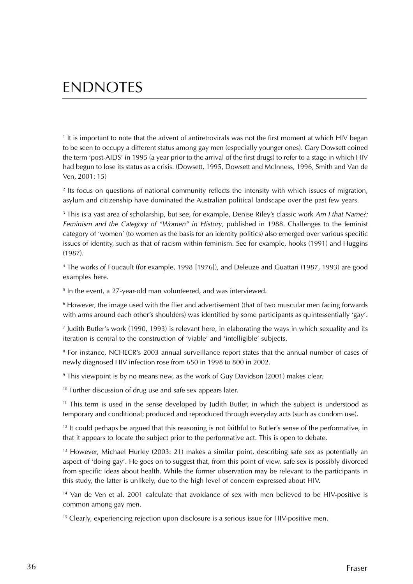## ENDNOTES

1 It is important to note that the advent of antiretrovirals was not the first moment at which HIV began to be seen to occupy a different status among gay men (especially younger ones). Gary Dowsett coined the term 'post-AIDS' in 1995 (a year prior to the arrival of the first drugs) to refer to a stage in which HIV had begun to lose its status as a crisis. (Dowsett, 1995, Dowsett and McInness, 1996, Smith and Van de Ven, 2001: 15)

2 Its focus on questions of national community reflects the intensity with which issues of migration, asylum and citizenship have dominated the Australian political landscape over the past few years.

 $^3$  This is a vast area of scholarship, but see, for example, Denise Riley's classic work Am I that Name?: Feminism and the Category of "Women" in History, published in 1988. Challenges to the feminist category of 'women' (to women as the basis for an identity politics) also emerged over various specific issues of identity, such as that of racism within feminism. See for example, hooks (1991) and Huggins (1987).

4 The works of Foucault (for example, 1998 [1976]), and Deleuze and Guattari (1987, 1993) are good examples here.

5 In the event, a 27-year-old man volunteered, and was interviewed.

 $^{\rm 6}$  However, the image used with the flier and advertisement (that of two muscular men facing forwards with arms around each other's shoulders) was identified by some participants as quintessentially 'gay'.

7 Judith Butler's work (1990, 1993) is relevant here, in elaborating the ways in which sexuality and its iteration is central to the construction of 'viable' and 'intelligible' subjects.

8 For instance, NCHECR's 2003 annual surveillance report states that the annual number of cases of newly diagnosed HIV infection rose from 650 in 1998 to 800 in 2002.

9 This viewpoint is by no means new, as the work of Guy Davidson (2001) makes clear.

<sup>10</sup> Further discussion of drug use and safe sex appears later.

<sup>11</sup> This term is used in the sense developed by Judith Butler, in which the subject is understood as temporary and conditional; produced and reproduced through everyday acts (such as condom use).

<sup>12</sup> It could perhaps be argued that this reasoning is not faithful to Butler's sense of the performative, in that it appears to locate the subject prior to the performative act. This is open to debate.

<sup>13</sup> However, Michael Hurley (2003: 21) makes a similar point, describing safe sex as potentially an aspect of 'doing gay'. He goes on to suggest that, from this point of view, safe sex is possibly divorced from specific ideas about health. While the former observation may be relevant to the participants in this study, the latter is unlikely, due to the high level of concern expressed about HIV.

<sup>14</sup> Van de Ven et al. 2001 calculate that avoidance of sex with men believed to be HIV-positive is common among gay men.

<sup>15</sup> Clearly, experiencing rejection upon disclosure is a serious issue for HIV-positive men.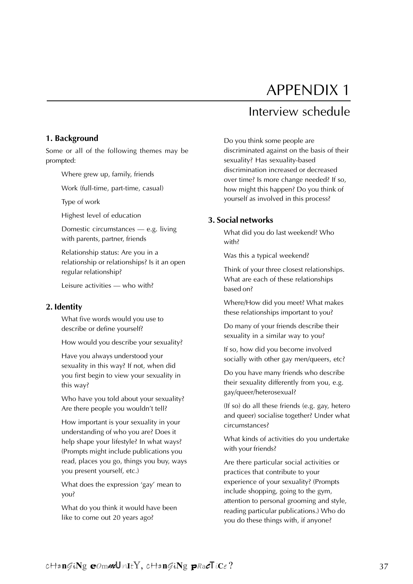# APPENDIX 1

### Interview schedule

#### **1. Background**

Some or all of the following themes may be prompted:

Where grew up, family, friends

Work (full-time, part-time, casual)

Type of work

Highest level of education

Domestic circumstances — e.g. living with parents, partner, friends

Relationship status: Are you in a relationship or relationships? Is it an open regular relationship?

Leisure activities — who with?

#### **2. Identity**

What five words would you use to describe or define yourself?

How would you describe your sexuality?

Have you always understood your sexuality in this way? If not, when did you first begin to view your sexuality in this way?

Who have you told about your sexuality? Are there people you wouldn't tell?

How important is your sexuality in your understanding of who you are? Does it help shape your lifestyle? In what ways? (Prompts might include publications you read, places you go, things you buy, ways you present yourself, etc.)

What does the expression 'gay' mean to you?

What do you think it would have been like to come out 20 years ago?

Do you think some people are discriminated against on the basis of their sexuality? Has sexuality-based discrimination increased or decreased over time? Is more change needed? If so, how might this happen? Do you think of yourself as involved in this process?

#### **3. Social networks**

What did you do last weekend? Who with?

Was this a typical weekend?

Think of your three closest relationships. What are each of these relationships based on?

Where/How did you meet? What makes these relationships important to you?

Do many of your friends describe their sexuality in a similar way to you?

If so, how did you become involved socially with other gay men/queers, etc?

Do you have many friends who describe their sexuality differently from you, e.g. gay/queer/heterosexual?

(If so) do all these friends (e.g. gay, hetero and queer) socialise together? Under what circumstances?

What kinds of activities do you undertake with your friends?

Are there particular social activities or practices that contribute to your experience of your sexuality? (Prompts include shopping, going to the gym, attention to personal grooming and style, reading particular publications.) Who do you do these things with, if anyone?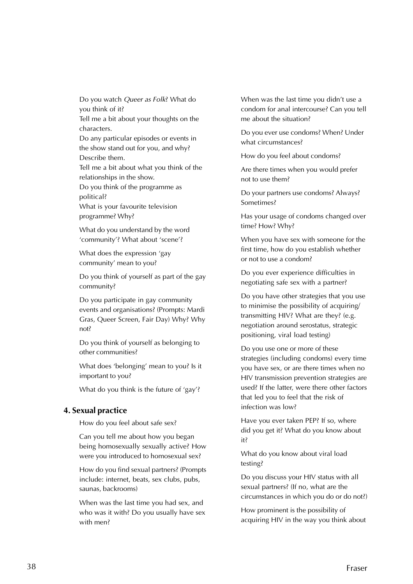Do you watch Queer as Folk? What do you think of it?

Tell me a bit about your thoughts on the characters.

Do any particular episodes or events in the show stand out for you, and why? Describe them.

Tell me a bit about what you think of the relationships in the show.

Do you think of the programme as political?

What is your favourite television programme? Why?

What do you understand by the word 'community'? What about 'scene'?

What does the expression 'gay community' mean to you?

Do you think of yourself as part of the gay community?

Do you participate in gay community events and organisations? (Prompts: Mardi Gras, Queer Screen, Fair Day) Why? Why not?

Do you think of yourself as belonging to other communities?

What does 'belonging' mean to you? Is it important to you?

What do you think is the future of 'gay'?

#### **4. Sexual practice**

How do you feel about safe sex?

Can you tell me about how you began being homosexually sexually active? How were you introduced to homosexual sex?

How do you find sexual partners? (Prompts include: internet, beats, sex clubs, pubs, saunas, backrooms)

When was the last time you had sex, and who was it with? Do you usually have sex with men?

When was the last time you didn't use a condom for anal intercourse? Can you tell me about the situation?

Do you ever use condoms? When? Under what circumstances?

How do you feel about condoms?

Are there times when you would prefer not to use them?

Do your partners use condoms? Always? Sometimes?

Has your usage of condoms changed over time? How? Why?

When you have sex with someone for the first time, how do you establish whether or not to use a condom?

Do you ever experience difficulties in negotiating safe sex with a partner?

Do you have other strategies that you use to minimise the possibility of acquiring/ transmitting HIV? What are they? (e.g. negotiation around serostatus, strategic positioning, viral load testing)

Do you use one or more of these strategies (including condoms) every time you have sex, or are there times when no HIV transmission prevention strategies are used? If the latter, were there other factors that led you to feel that the risk of infection was low?

Have you ever taken PEP? If so, where did you get it? What do you know about it?

What do you know about viral load testing?

Do you discuss your HIV status with all sexual partners? (If no, what are the circumstances in which you do or do not?)

How prominent is the possibility of acquiring HIV in the way you think about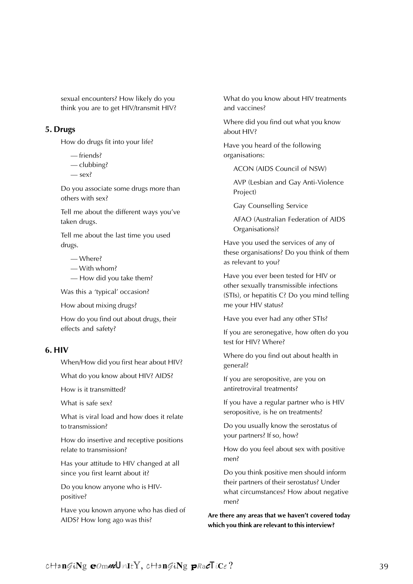sexual encounters? How likely do you think you are to get HIV/transmit HIV?

#### **5. Drugs**

How do drugs fit into your life?

- friends?
- clubbing?
- sex?

Do you associate some drugs more than others with sex?

Tell me about the different ways you've taken drugs.

Tell me about the last time you used drugs.

— Where?

- With whom?
- How did you take them?

Was this a 'typical' occasion?

How about mixing drugs?

How do you find out about drugs, their effects and safety?

#### **6. HIV**

When/How did you first hear about HIV?

What do you know about HIV? AIDS?

How is it transmitted?

What is safe sex?

What is viral load and how does it relate to transmission?

How do insertive and receptive positions relate to transmission?

Has your attitude to HIV changed at all since you first learnt about it?

Do you know anyone who is HIVpositive?

Have you known anyone who has died of AIDS? How long ago was this?

What do you know about HIV treatments and vaccines?

Where did you find out what you know about HIV?

Have you heard of the following organisations:

ACON (AIDS Council of NSW)

AVP (Lesbian and Gay Anti-Violence Project)

Gay Counselling Service

AFAO (Australian Federation of AIDS Organisations)?

Have you used the services of any of these organisations? Do you think of them as relevant to you?

Have you ever been tested for HIV or other sexually transmissible infections (STIs), or hepatitis C? Do you mind telling me your HIV status?

Have you ever had any other STIs?

If you are seronegative, how often do you test for HIV? Where?

Where do you find out about health in general?

If you are seropositive, are you on antiretroviral treatments?

If you have a regular partner who is HIV seropositive, is he on treatments?

Do you usually know the serostatus of your partners? If so, how?

How do you feel about sex with positive men?

Do you think positive men should inform their partners of their serostatus? Under what circumstances? How about negative men?

**Are there any areas that we haven't covered today which you think are relevant to this interview?**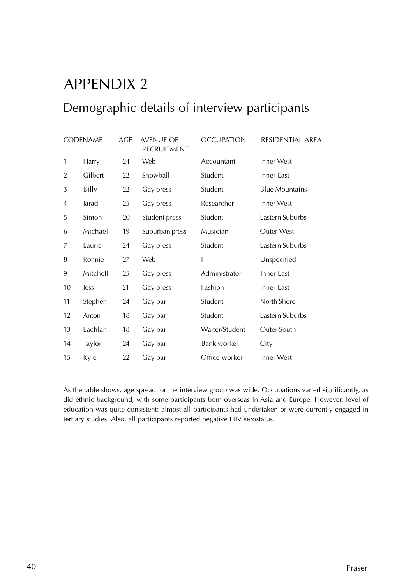# APPENDIX 2

### Demographic details of interview participants

|                | <b>CODENAME</b> | AGE | <b>AVENUE OF</b><br><b>RECRUITMENT</b> | <b>OCCUPATION</b>  | RESIDENTIAL AREA      |
|----------------|-----------------|-----|----------------------------------------|--------------------|-----------------------|
| 1              | Harry           | 24  | Web                                    | Accountant         | <b>Inner West</b>     |
| $\overline{2}$ | Gilbert         | 22  | Snowball                               | Student            | Inner East            |
| 3              | Billy           | 22  | Gay press                              | Student            | <b>Blue Mountains</b> |
| 4              | Jarad           | 25  | Gay press                              | Researcher         | Inner West            |
| 5              | Simon           | 20  | Student press                          | Student            | Eastern Suburbs       |
| 6              | Michael         | 19  | Suburban press                         | Musician           | <b>Outer West</b>     |
| 7              | Laurie          | 24  | Gay press                              | Student            | Eastern Suburbs       |
| 8              | Ronnie          | 27  | Web                                    | IT                 | Unspecified           |
| 9              | Mitchell        | 25  | Gay press                              | Administrator      | Inner East            |
| 10             | less            | 21  | Gay press                              | Fashion            | Inner East            |
| 11             | Stephen         | 24  | Gay bar                                | Student            | North Shore           |
| 12             | Anton           | 18  | Gay bar                                | Student            | Eastern Suburbs       |
| 13             | Lachlan         | 18  | Gay bar                                | Waiter/Student     | Outer South           |
| 14             | Taylor          | 24  | Gay bar                                | <b>Bank worker</b> | City                  |
| 15             | Kyle            | 22  | Gay bar                                | Office worker      | Inner West            |

As the table shows, age spread for the interview group was wide. Occupations varied significantly, as did ethnic background, with some participants born overseas in Asia and Europe. However, level of education was quite consistent: almost all participants had undertaken or were currently engaged in tertiary studies. Also, all participants reported negative HIV serostatus.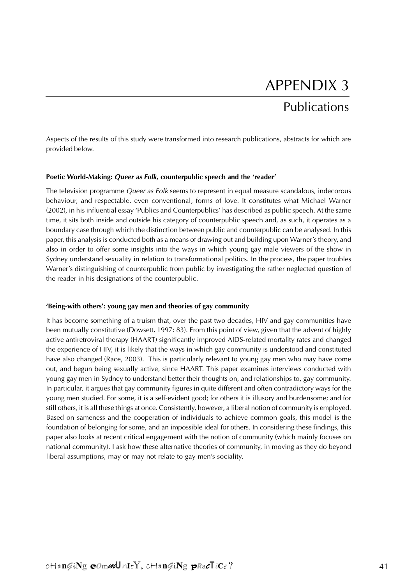# APPENDIX 3 Publications

Aspects of the results of this study were transformed into research publications, abstracts for which are provided below.

#### **Poetic World-Making: Queer as Folk, counterpublic speech and the 'reader'**

The television programme Queer as Folk seems to represent in equal measure scandalous, indecorous behaviour, and respectable, even conventional, forms of love. It constitutes what Michael Warner (2002), in his influential essay 'Publics and Counterpublics' has described as public speech. At the same time, it sits both inside and outside his category of counterpublic speech and, as such, it operates as a boundary case through which the distinction between public and counterpublic can be analysed. In this paper, this analysis is conducted both as a means of drawing out and building upon Warner's theory, and also in order to offer some insights into the ways in which young gay male viewers of the show in Sydney understand sexuality in relation to transformational politics. In the process, the paper troubles Warner's distinguishing of counterpublic from public by investigating the rather neglected question of the reader in his designations of the counterpublic.

#### **'Being-with others': young gay men and theories of gay community**

It has become something of a truism that, over the past two decades, HIV and gay communities have been mutually constitutive (Dowsett, 1997: 83). From this point of view, given that the advent of highly active antiretroviral therapy (HAART) significantly improved AIDS-related mortality rates and changed the experience of HIV, it is likely that the ways in which gay community is understood and constituted have also changed (Race, 2003). This is particularly relevant to young gay men who may have come out, and begun being sexually active, since HAART. This paper examines interviews conducted with young gay men in Sydney to understand better their thoughts on, and relationships to, gay community. In particular, it argues that gay community figures in quite different and often contradictory ways for the young men studied. For some, it is a self-evident good; for others it is illusory and burdensome; and for still others, it is all these things at once. Consistently, however, a liberal notion of community is employed. Based on sameness and the cooperation of individuals to achieve common goals, this model is the foundation of belonging for some, and an impossible ideal for others. In considering these findings, this paper also looks at recent critical engagement with the notion of community (which mainly focuses on national community). I ask how these alternative theories of community, in moving as they do beyond liberal assumptions, may or may not relate to gay men's sociality.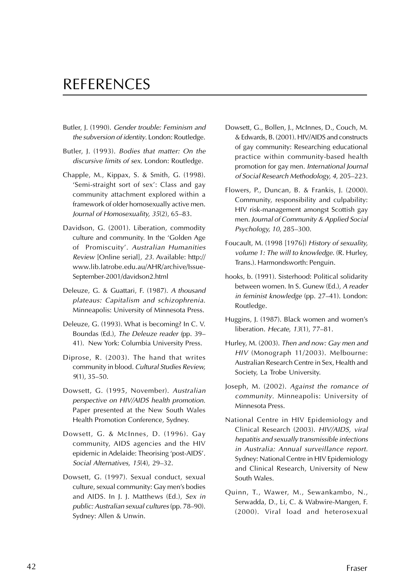### REFERENCES

- Butler, J. (1990). Gender trouble: Feminism and the subversion of identity. London: Routledge.
- Butler, J. (1993). Bodies that matter: On the discursive limits of sex. London: Routledge.
- Chapple, M., Kippax, S. & Smith, G. (1998). 'Semi-straight sort of sex': Class and gay community attachment explored within a framework of older homosexually active men. Journal of Homosexuality, <sup>35</sup>(2), 65–83.
- Davidson, G. (2001). Liberation, commodity culture and community. In the 'Golden Age of Promiscuity'. Australian Humanities Review [Online serial], 23. Available: http:// www.lib.latrobe.edu.au/AHR/archive/Issue-September-2001/davidson2.html
- Deleuze, G. & Guattari, F. (1987). A thousand plateaus: Capitalism and schizophrenia. Minneapolis: University of Minnesota Press.
- Deleuze, G. (1993). What is becoming? In C. V. Boundas (Ed.), The Deleuze reader (pp. 39– 41). New York: Columbia University Press.
- Diprose, R. (2003). The hand that writes community in blood. Cultural Studies Review, <sup>9</sup>(1), 35–50.
- Dowsett, G. (1995, November). Australian perspective on HIV/AIDS health promotion. Paper presented at the New South Wales Health Promotion Conference, Sydney.
- Dowsett, G. & McInnes, D. (1996). Gay community, AIDS agencies and the HIV epidemic in Adelaide: Theorising 'post-AIDS'. Social Alternatives, <sup>15</sup>(4), 29–32.
- Dowsett, G. (1997). Sexual conduct, sexual culture, sexual community: Gay men's bodies and AIDS. In J. J. Matthews (Ed.), Sex in public: Australian sexual cultures (pp. 78–90). Sydney: Allen & Unwin.
- Dowsett, G., Bollen, J., McInnes, D., Couch, M. & Edwards, B. (2001). HIV/AIDS and constructs of gay community: Researching educational practice within community-based health promotion for gay men. International Journal of Social Research Methodology, <sup>4</sup>, 205–223.
- Flowers, P., Duncan, B. & Frankis, J. (2000). Community, responsibility and culpability: HIV risk-management amongst Scottish gay men. Journal of Community & Applied Social Psychology, <sup>10</sup>, 285–300.
- Foucault, M. (1998 [1976]) History of sexuality, volume 1: The will to knowledge. (R. Hurley, Trans.). Harmondsworth: Penguin.
- hooks, b. (1991). Sisterhood: Political solidarity between women. In S. Gunew (Ed.), A reader in feminist knowledge (pp. 27–41). London: Routledge.
- Huggins, J. (1987). Black women and women's liberation. Hecate, 13(1), 77–81.
- Hurley, M. (2003). Then and now: Gay men and HIV (Monograph 11/2003). Melbourne: Australian Research Centre in Sex, Health and Society, La Trobe University.
- Joseph, M. (2002). Against the romance of community. Minneapolis: University of Minnesota Press.
- National Centre in HIV Epidemiology and Clinical Research (2003). HIV/AIDS, viral hepatitis and sexually transmissible infections in Australia: Annual surveillance report. Sydney: National Centre in HIV Epidemiology and Clinical Research, University of New South Wales.
- Quinn, T., Wawer, M., Sewankambo, N., Serwadda, D., Li, C. & Wabwire-Mangen, F. (2000). Viral load and heterosexual